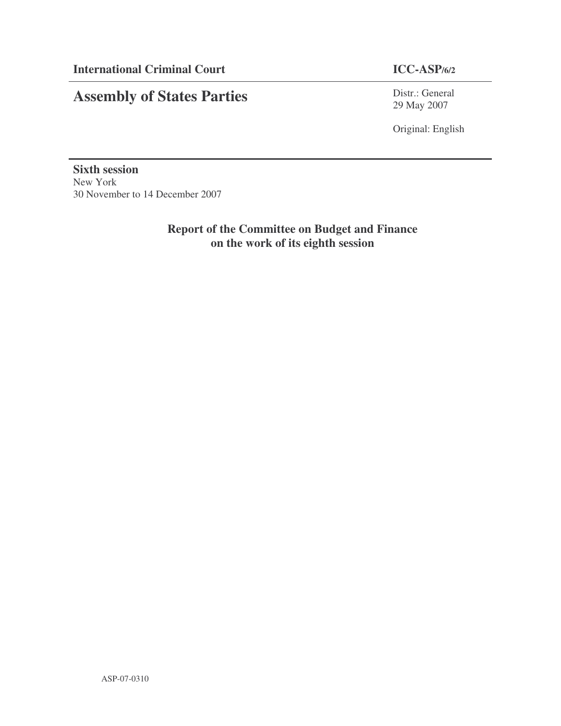## **Assembly of States Parties**

Distr.: General 29 May 2007

Original: English

**Sixth session** New York 30 November to 14 December 2007

> **Report of the Committee on Budget and Finance on the work of its eighth session**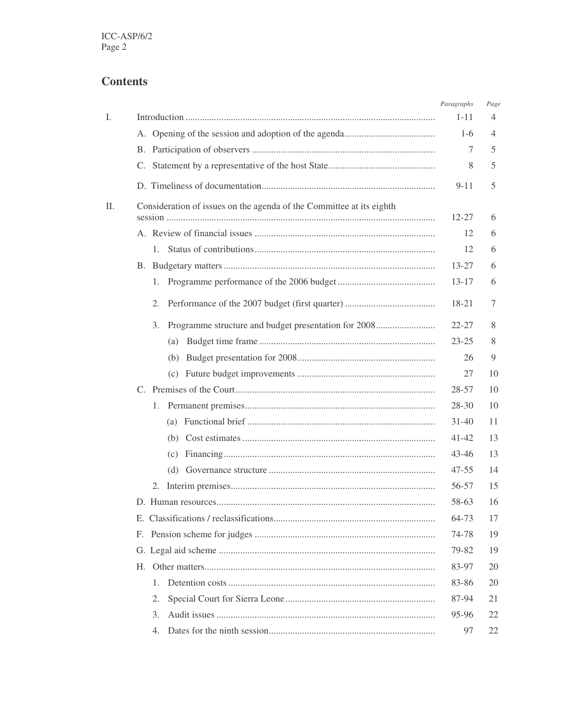## **Contents**

|    |                                                                      | Paragraphs | Page |
|----|----------------------------------------------------------------------|------------|------|
| I. |                                                                      | $1 - 11$   | 4    |
|    |                                                                      | $1-6$      | 4    |
|    |                                                                      | 7          | 5    |
|    |                                                                      | 8          | 5    |
|    |                                                                      | $9 - 11$   | 5    |
| П. | Consideration of issues on the agenda of the Committee at its eighth |            |      |
|    |                                                                      | $12 - 27$  | 6    |
|    |                                                                      | 12         | 6    |
|    |                                                                      | 12         | 6    |
|    |                                                                      | $13 - 27$  | 6    |
|    | 1.                                                                   | $13 - 17$  | 6    |
|    | 2.                                                                   | 18-21      | 7    |
|    | Programme structure and budget presentation for 2008<br>3.           | $22 - 27$  | 8    |
|    |                                                                      | $23 - 25$  | 8    |
|    | (b)                                                                  | 26         | 9    |
|    |                                                                      | 27         | 10   |
|    |                                                                      | $28 - 57$  | 10   |
|    | 1.                                                                   | $28-30$    | 10   |
|    |                                                                      | $31 - 40$  | 11   |
|    |                                                                      | 41-42      | 13   |
|    |                                                                      | 43-46      | 13   |
|    |                                                                      | $47 - 55$  | 14   |
|    |                                                                      | 56-57      | 15   |
|    |                                                                      | 58-63      | 16   |
|    |                                                                      | 64-73      | 17   |
|    |                                                                      | 74-78      | 19   |
|    |                                                                      | 79-82      | 19   |
|    |                                                                      | 83-97      | 20   |
|    | 1.                                                                   | 83-86      | 20   |
|    | 2.                                                                   | 87-94      | 21   |
|    | 3.                                                                   | 95-96      | 22   |
|    | 4.                                                                   | 97         | 22   |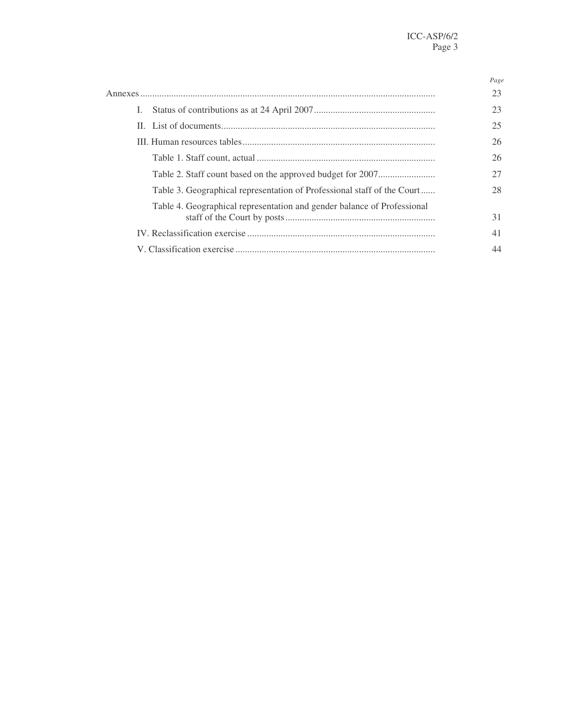|                                                                         | Page |
|-------------------------------------------------------------------------|------|
|                                                                         | 23   |
| L.                                                                      | 23   |
|                                                                         | 25   |
|                                                                         | 26   |
|                                                                         | 26   |
|                                                                         | 27   |
| Table 3. Geographical representation of Professional staff of the Court | 28   |
| Table 4. Geographical representation and gender balance of Professional | 31   |
|                                                                         | 41   |
|                                                                         |      |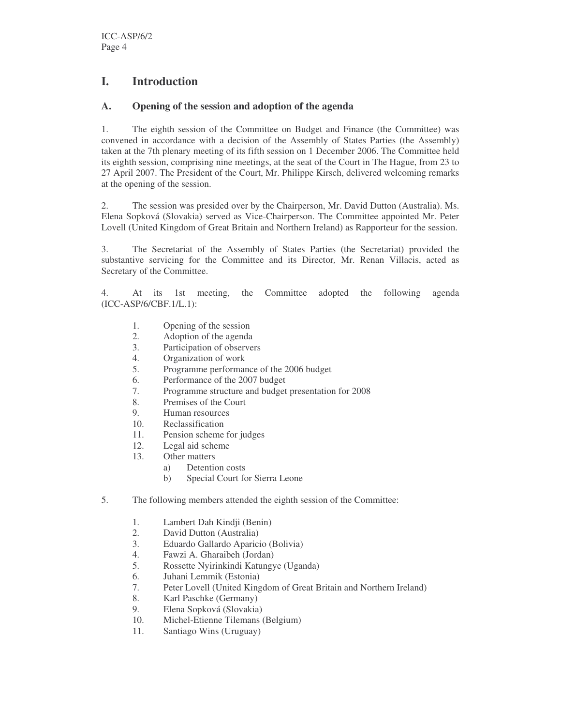## **I. Introduction**

#### **A. Opening of the session and adoption of the agenda**

1. The eighth session of the Committee on Budget and Finance (the Committee) was convened in accordance with a decision of the Assembly of States Parties (the Assembly) taken at the 7th plenary meeting of its fifth session on 1 December 2006. The Committee held its eighth session, comprising nine meetings, at the seat of the Court in The Hague, from 23 to 27 April 2007. The President of the Court, Mr. Philippe Kirsch, delivered welcoming remarks at the opening of the session.

2. The session was presided over by the Chairperson, Mr. David Dutton (Australia). Ms. Elena Sopková (Slovakia) served as Vice-Chairperson. The Committee appointed Mr. Peter Lovell (United Kingdom of Great Britain and Northern Ireland) as Rapporteur for the session.

3. The Secretariat of the Assembly of States Parties (the Secretariat) provided the substantive servicing for the Committee and its Director*,* Mr. Renan Villacis, acted as Secretary of the Committee.

4. At its 1st meeting, the Committee adopted the following agenda (ICC-ASP/6/CBF.1/L.1):

- 1. Opening of the session
- 2. Adoption of the agenda<br>3. Participation of observe
- Participation of observers
- 4. Organization of work
- 5. Programme performance of the 2006 budget
- 6. Performance of the 2007 budget
- 7. Programme structure and budget presentation for 2008
- 8. Premises of the Court
- 9. Human resources
- 10. Reclassification
- 11. Pension scheme for judges
- 12. Legal aid scheme
- 13. Other matters
	- a) Detention costs
		- b) Special Court for Sierra Leone
- 5. The following members attended the eighth session of the Committee:
	- 1. Lambert Dah Kindji (Benin)
	- 2. David Dutton (Australia)
	- 3. Eduardo Gallardo Aparicio (Bolivia)
	- 4. Fawzi A. Gharaibeh (Jordan)<br>5. Rossette Nyirinkindi Katungy
	- 5. Rossette Nyirinkindi Katungye (Uganda)
	- 6. Juhani Lemmik (Estonia)
	- 7. Peter Lovell (United Kingdom of Great Britain and Northern Ireland)
	- 8. Karl Paschke (Germany)
	- 9. Elena Sopková (Slovakia)
	- 10. Michel-Etienne Tilemans (Belgium)
	- 11. Santiago Wins (Uruguay)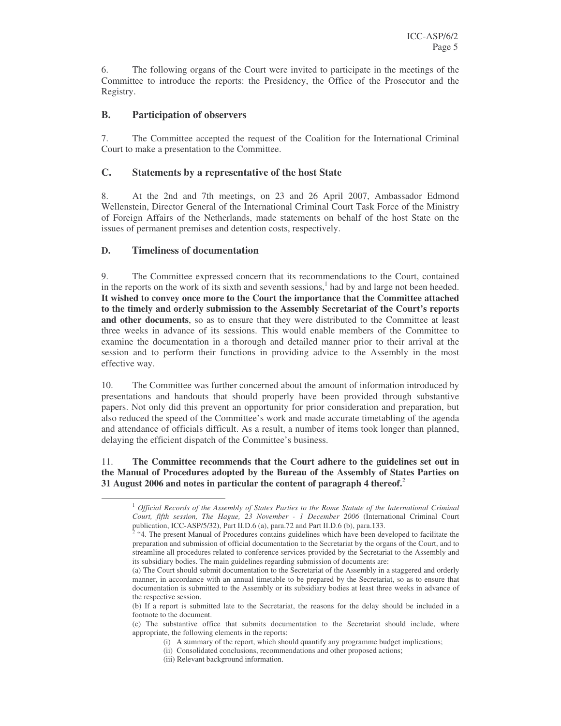6. The following organs of the Court were invited to participate in the meetings of the Committee to introduce the reports: the Presidency, the Office of the Prosecutor and the Registry.

#### **B. Participation of observers**

7. The Committee accepted the request of the Coalition for the International Criminal Court to make a presentation to the Committee.

#### **C. Statements by a representative of the host State**

8. At the 2nd and 7th meetings, on 23 and 26 April 2007, Ambassador Edmond Wellenstein, Director General of the International Criminal Court Task Force of the Ministry of Foreign Affairs of the Netherlands, made statements on behalf of the host State on the issues of permanent premises and detention costs, respectively.

#### **D. Timeliness of documentation**

9. The Committee expressed concern that its recommendations to the Court, contained in the reports on the work of its sixth and seventh sessions, 1 had by and large not been heeded. **It wished to convey once more to the Court the importance that the Committee attached to the timely and orderly submission to the Assembly Secretariat of the Court's reports and other documents**, so as to ensure that they were distributed to the Committee at least three weeks in advance of its sessions. This would enable members of the Committee to examine the documentation in a thorough and detailed manner prior to their arrival at the session and to perform their functions in providing advice to the Assembly in the most effective way.

10. The Committee was further concerned about the amount of information introduced by presentations and handouts that should properly have been provided through substantive papers. Not only did this prevent an opportunity for prior consideration and preparation, but also reduced the speed of the Committee's work and made accurate timetabling of the agenda and attendance of officials difficult. As a result, a number of items took longer than planned, delaying the efficient dispatch of the Committee's business.

#### 11. **The Committee recommends that the Court adhere to the guidelines set out in the Manual of Procedures adopted by the Bureau of the Assembly of States Parties on 31 August 2006 and notes in particular the content of paragraph 4 thereof.** 2

<sup>1</sup> *Official Records of the Assembly of States Parties to the Rome Statute of the International Criminal Court, fifth session, The Hague, 23 November - 1 December 2006* (International Criminal Court publication, ICC-ASP/5/32), Part II.D.6 (a), para.72 and Part II.D.6 (b), para.133. 2

<sup>&</sup>quot;4. The present Manual of Procedures contains guidelines which have been developed to facilitate the preparation and submission of official documentation to the Secretariat by the organs of the Court, and to streamline all procedures related to conference services provided by the Secretariat to the Assembly and its subsidiary bodies. The main guidelines regarding submission of documents are:

<sup>(</sup>a) The Court should submit documentation to the Secretariat of the Assembly in a staggered and orderly manner, in accordance with an annual timetable to be prepared by the Secretariat, so as to ensure that documentation is submitted to the Assembly or its subsidiary bodies at least three weeks in advance of the respective session.

<sup>(</sup>b) If a report is submitted late to the Secretariat, the reasons for the delay should be included in a footnote to the document.

<sup>(</sup>c) The substantive office that submits documentation to the Secretariat should include, where appropriate, the following elements in the reports:

<sup>(</sup>i) A summary of the report, which should quantify any programme budget implications;

<sup>(</sup>ii) Consolidated conclusions, recommendations and other proposed actions;

<sup>(</sup>iii) Relevant background information.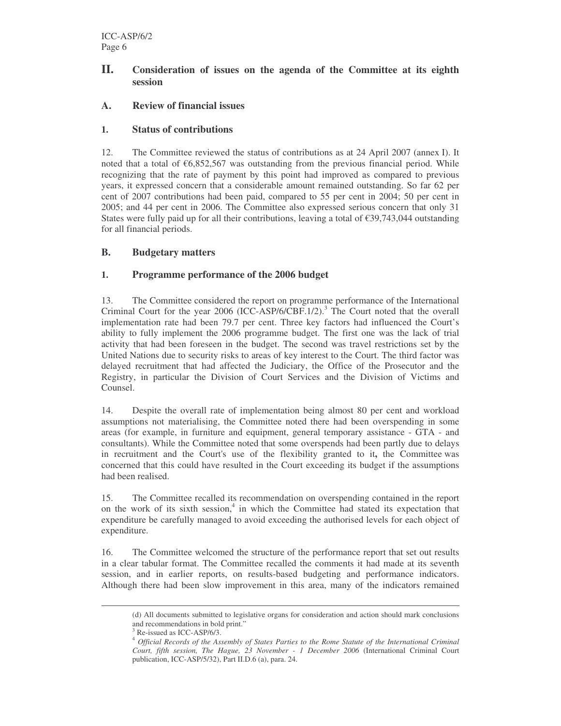#### **II. Consideration of issues on the agenda of the Committee at its eighth session**

#### **A. Review of financial issues**

#### **1. Status of contributions**

12. The Committee reviewed the status of contributions as at 24 April 2007 (annex I). It noted that a total of  $\epsilon$ 6,852,567 was outstanding from the previous financial period. While recognizing that the rate of payment by this point had improved as compared to previous years, it expressed concern that a considerable amount remained outstanding. So far 62 per cent of 2007 contributions had been paid, compared to 55 per cent in 2004; 50 per cent in 2005; and 44 per cent in 2006. The Committee also expressed serious concern that only 31 States were fully paid up for all their contributions, leaving a total of  $\epsilon$ 39,743,044 outstanding for all financial periods.

#### **B. Budgetary matters**

#### **1. Programme performance of the 2006 budget**

13. The Committee considered the report on programme performance of the International Criminal Court for the year 2006 (ICC-ASP/6/CBF.1/2).<sup>3</sup> The Court noted that the overall implementation rate had been 79.7 per cent. Three key factors had influenced the Court's ability to fully implement the 2006 programme budget. The first one was the lack of trial activity that had been foreseen in the budget. The second was travel restrictions set by the United Nations due to security risks to areas of key interest to the Court. The third factor was delayed recruitment that had affected the Judiciary, the Office of the Prosecutor and the Registry, in particular the Division of Court Services and the Division of Victims and Counsel.

14. Despite the overall rate of implementation being almost 80 per cent and workload assumptions not materialising, the Committee noted there had been overspending in some areas (for example, in furniture and equipment, general temporary assistance - GTA - and consultants). While the Committee noted that some overspends had been partly due to delays in recruitment and the Court's use of the flexibility granted to it**,** the Committee was concerned that this could have resulted in the Court exceeding its budget if the assumptions had been realised.

15. The Committee recalled its recommendation on overspending contained in the report on the work of its sixth session, 4 in which the Committee had stated its expectation that expenditure be carefully managed to avoid exceeding the authorised levels for each object of expenditure.

16. The Committee welcomed the structure of the performance report that set out results in a clear tabular format. The Committee recalled the comments it had made at its seventh session, and in earlier reports, on results-based budgeting and performance indicators. Although there had been slow improvement in this area, many of the indicators remained

<sup>(</sup>d) All documents submitted to legislative organs for consideration and action should mark conclusions and recommendations in bold print."

Re-issued as ICC-ASP/6/3.

<sup>4</sup> *Official Records of the Assembly of States Parties to the Rome Statute of the International Criminal Court, fifth session, The Hague, 23 November - 1 December 2006* (International Criminal Court publication, ICC-ASP/5/32), Part II.D.6 (a), para. 24.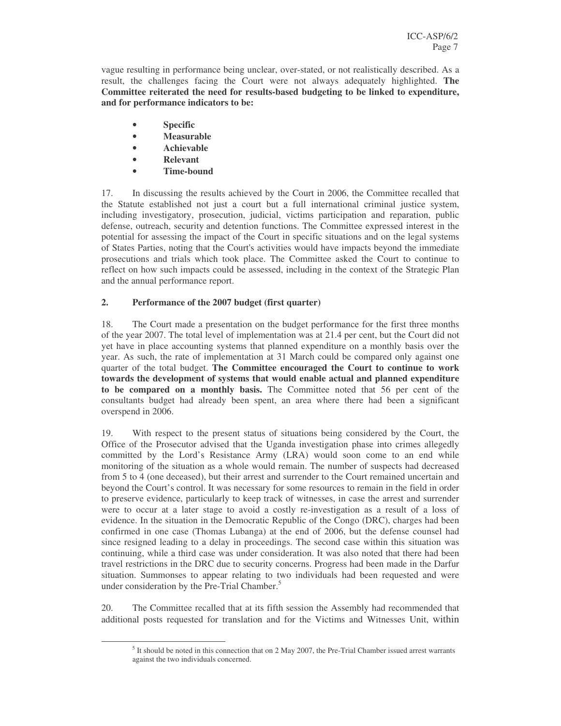vague resulting in performance being unclear, over-stated, or not realistically described. As a result, the challenges facing the Court were not always adequately highlighted. **The Committee reiterated the need for results-based budgeting to be linked to expenditure, and for performance indicators to be:**

- **Specific**
- **Measurable**
- **Achievable**
- **Relevant**
- **Time-bound**

17. In discussing the results achieved by the Court in 2006, the Committee recalled that the Statute established not just a court but a full international criminal justice system, including investigatory, prosecution, judicial, victims participation and reparation, public defense, outreach, security and detention functions. The Committee expressed interest in the potential for assessing the impact of the Court in specific situations and on the legal systems of States Parties, noting that the Court's activities would have impacts beyond the immediate prosecutions and trials which took place. The Committee asked the Court to continue to reflect on how such impacts could be assessed, including in the context of the Strategic Plan and the annual performance report.

#### **2. Performance of the 2007 budget (first quarter)**

18. The Court made a presentation on the budget performance for the first three months of the year 2007. The total level of implementation was at 21.4 per cent, but the Court did not yet have in place accounting systems that planned expenditure on a monthly basis over the year. As such, the rate of implementation at 31 March could be compared only against one quarter of the total budget. **The Committee encouraged the Court to continue to work towards the development of systems that would enable actual and planned expenditure to be compared on a monthly basis.** The Committee noted that 56 per cent of the consultants budget had already been spent, an area where there had been a significant overspend in 2006.

19. With respect to the present status of situations being considered by the Court, the Office of the Prosecutor advised that the Uganda investigation phase into crimes allegedly committed by the Lord's Resistance Army (LRA) would soon come to an end while monitoring of the situation as a whole would remain. The number of suspects had decreased from 5 to 4 (one deceased), but their arrest and surrender to the Court remained uncertain and beyond the Court's control. It was necessary for some resources to remain in the field in order to preserve evidence, particularly to keep track of witnesses, in case the arrest and surrender were to occur at a later stage to avoid a costly re-investigation as a result of a loss of evidence. In the situation in the Democratic Republic of the Congo (DRC), charges had been confirmed in one case (Thomas Lubanga) at the end of 2006, but the defense counsel had since resigned leading to a delay in proceedings. The second case within this situation was continuing, while a third case was under consideration. It was also noted that there had been travel restrictions in the DRC due to security concerns. Progress had been made in the Darfur situation. Summonses to appear relating to two individuals had been requested and were under consideration by the Pre-Trial Chamber.<sup>5</sup>

20. The Committee recalled that at its fifth session the Assembly had recommended that additional posts requested for translation and for the Victims and Witnesses Unit, within

<sup>&</sup>lt;sup>5</sup> It should be noted in this connection that on 2 May 2007, the Pre-Trial Chamber issued arrest warrants against the two individuals concerned.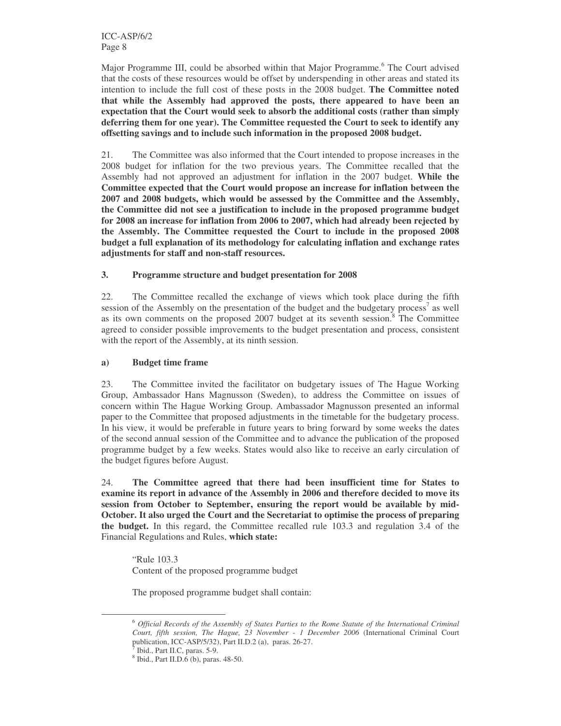Major Programme III, could be absorbed within that Major Programme. <sup>6</sup> The Court advised that the costs of these resources would be offset by underspending in other areas and stated its intention to include the full cost of these posts in the 2008 budget. **The Committee noted that while the Assembly had approved the posts, there appeared to have been an expectation that the Court would seek to absorb the additional costs (rather than simply deferring them for one year). The Committee requested the Court to seek to identify any offsetting savings and to include such information in the proposed 2008 budget.**

21. The Committee was also informed that the Court intended to propose increases in the 2008 budget for inflation for the two previous years. The Committee recalled that the Assembly had not approved an adjustment for inflation in the 2007 budget. **While the Committee expected that the Court would propose an increase for inflation between the 2007 and 2008 budgets, which would be assessed by the Committee and the Assembly, the Committee did not see a justification to include in the proposed programme budget for 2008 an increase for inflation from 2006 to 2007, which had already been rejected by the Assembly. The Committee requested the Court to include in the proposed 2008 budget a full explanation of its methodology for calculating inflation and exchange rates adjustments for staff and non-staff resources.**

#### **3. Programme structure and budget presentation for 2008**

22. The Committee recalled the exchange of views which took place during the fifth session of the Assembly on the presentation of the budget and the budgetary process<sup>7</sup> as well as its own comments on the proposed 2007 budget at its seventh session. <sup>8</sup> The Committee agreed to consider possible improvements to the budget presentation and process, consistent with the report of the Assembly, at its ninth session.

#### **a) Budget time frame**

23. The Committee invited the facilitator on budgetary issues of The Hague Working Group, Ambassador Hans Magnusson (Sweden), to address the Committee on issues of concern within The Hague Working Group. Ambassador Magnusson presented an informal paper to the Committee that proposed adjustments in the timetable for the budgetary process. In his view, it would be preferable in future years to bring forward by some weeks the dates of the second annual session of the Committee and to advance the publication of the proposed programme budget by a few weeks. States would also like to receive an early circulation of the budget figures before August.

24. **The Committee agreed that there had been insufficient time for States to examine its report in advance of the Assembly in 2006 and therefore decided to move its session from October to September, ensuring the report would be available by mid-October. It also urged the Court and the Secretariat to optimise the process of preparing the budget.** In this regard, the Committee recalled rule 103.3 and regulation 3.4 of the Financial Regulations and Rules, **which state:**

"Rule 103.3 Content of the proposed programme budget

The proposed programme budget shall contain:

<sup>6</sup> *Official Records of the Assembly of States Parties to the Rome Statute of the International Criminal Court, fifth session, The Hague, 23 November - 1 December 2006* (International Criminal Court publication, ICC-ASP/5/32), Part II.D.2 (a), paras. 26-27.

<sup>&</sup>lt;sup>7</sup> Ibid., Part II.C, paras. 5-9.

<sup>8</sup> Ibid., Part II.D.6 (b), paras. 48-50.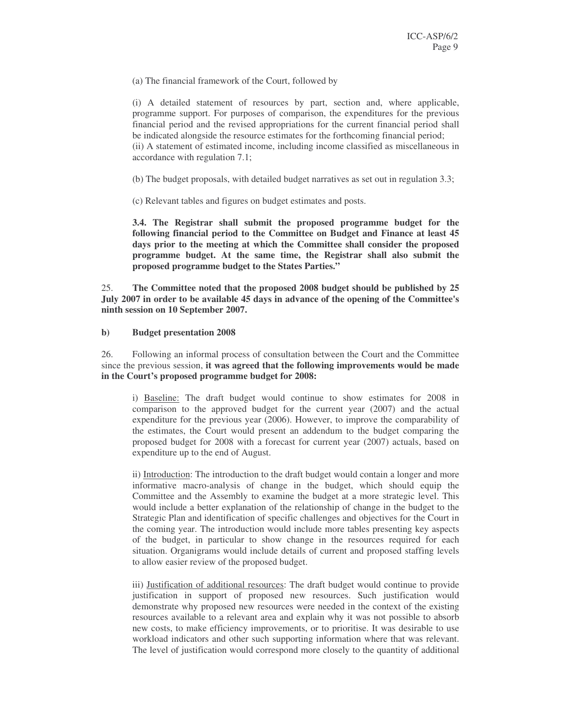(a) The financial framework of the Court, followed by

(i) A detailed statement of resources by part, section and, where applicable, programme support. For purposes of comparison, the expenditures for the previous financial period and the revised appropriations for the current financial period shall be indicated alongside the resource estimates for the forthcoming financial period; (ii) A statement of estimated income, including income classified as miscellaneous in accordance with regulation 7.1;

- (b) The budget proposals, with detailed budget narratives as set out in regulation 3.3;
- (c) Relevant tables and figures on budget estimates and posts.

**3.4. The Registrar shall submit the proposed programme budget for the following financial period to the Committee on Budget and Finance at least 45 days prior to the meeting at which the Committee shall consider the proposed programme budget. At the same time, the Registrar shall also submit the proposed programme budget to the States Parties."**

25. **The Committee noted that the proposed 2008 budget should be published by 25 July 2007 in order to be available 45 days in advance of the opening of the Committee's ninth session on 10 September 2007.**

#### **b) Budget presentation 2008**

26. Following an informal process of consultation between the Court and the Committee since the previous session, **it was agreed that the following improvements would be made in the Court's proposed programme budget for 2008:**

i) Baseline: The draft budget would continue to show estimates for 2008 in comparison to the approved budget for the current year (2007) and the actual expenditure for the previous year (2006). However, to improve the comparability of the estimates, the Court would present an addendum to the budget comparing the proposed budget for 2008 with a forecast for current year (2007) actuals, based on expenditure up to the end of August.

ii) Introduction: The introduction to the draft budget would contain a longer and more informative macro-analysis of change in the budget, which should equip the Committee and the Assembly to examine the budget at a more strategic level. This would include a better explanation of the relationship of change in the budget to the Strategic Plan and identification of specific challenges and objectives for the Court in the coming year. The introduction would include more tables presenting key aspects of the budget, in particular to show change in the resources required for each situation. Organigrams would include details of current and proposed staffing levels to allow easier review of the proposed budget.

iii) Justification of additional resources: The draft budget would continue to provide justification in support of proposed new resources. Such justification would demonstrate why proposed new resources were needed in the context of the existing resources available to a relevant area and explain why it was not possible to absorb new costs, to make efficiency improvements, or to prioritise. It was desirable to use workload indicators and other such supporting information where that was relevant. The level of justification would correspond more closely to the quantity of additional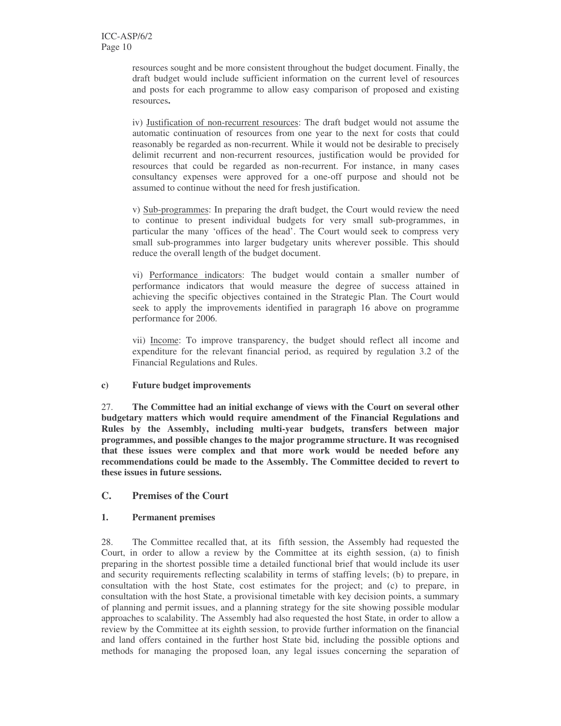resources sought and be more consistent throughout the budget document. Finally, the draft budget would include sufficient information on the current level of resources and posts for each programme to allow easy comparison of proposed and existing resources**.**

iv) Justification of non-recurrent resources: The draft budget would not assume the automatic continuation of resources from one year to the next for costs that could reasonably be regarded as non-recurrent. While it would not be desirable to precisely delimit recurrent and non-recurrent resources, justification would be provided for resources that could be regarded as non-recurrent. For instance, in many cases consultancy expenses were approved for a one-off purpose and should not be assumed to continue without the need for fresh justification.

v) Sub-programmes: In preparing the draft budget, the Court would review the need to continue to present individual budgets for very small sub-programmes, in particular the many 'offices of the head'. The Court would seek to compress very small sub-programmes into larger budgetary units wherever possible. This should reduce the overall length of the budget document.

vi) Performance indicators: The budget would contain a smaller number of performance indicators that would measure the degree of success attained in achieving the specific objectives contained in the Strategic Plan. The Court would seek to apply the improvements identified in paragraph 16 above on programme performance for 2006.

vii) Income: To improve transparency, the budget should reflect all income and expenditure for the relevant financial period, as required by regulation 3.2 of the Financial Regulations and Rules.

#### **c) Future budget improvements**

27. **The Committee had an initial exchange of views with the Court on several other budgetary matters which would require amendment of the Financial Regulations and Rules by the Assembly, including multi-year budgets, transfers between major programmes, and possible changes to the major programme structure. It was recognised that these issues were complex and that more work would be needed before any recommendations could be made to the Assembly. The Committee decided to revert to these issues in future sessions.**

#### **C. Premises of the Court**

#### **1. Permanent premises**

28. The Committee recalled that, at its fifth session, the Assembly had requested the Court, in order to allow a review by the Committee at its eighth session, (a) to finish preparing in the shortest possible time a detailed functional brief that would include its user and security requirements reflecting scalability in terms of staffing levels; (b) to prepare, in consultation with the host State, cost estimates for the project; and (c) to prepare, in consultation with the host State, a provisional timetable with key decision points, a summary of planning and permit issues, and a planning strategy for the site showing possible modular approaches to scalability. The Assembly had also requested the host State, in order to allow a review by the Committee at its eighth session, to provide further information on the financial and land offers contained in the further host State bid, including the possible options and methods for managing the proposed loan, any legal issues concerning the separation of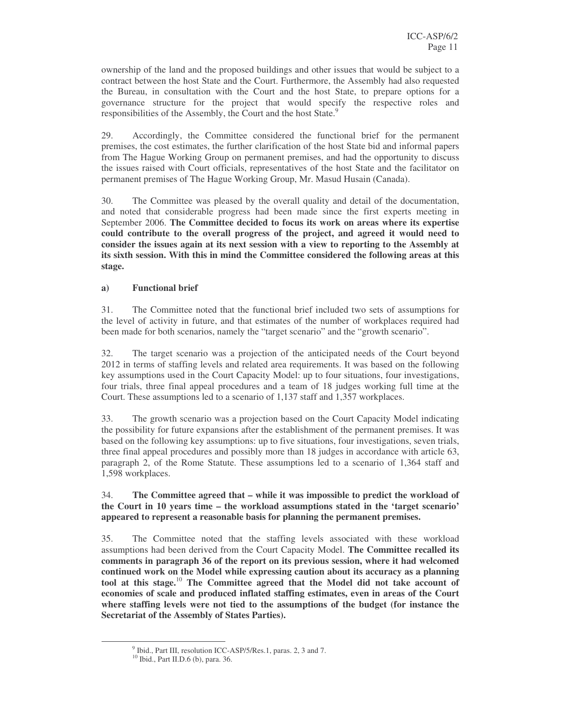ownership of the land and the proposed buildings and other issues that would be subject to a contract between the host State and the Court. Furthermore, the Assembly had also requested the Bureau, in consultation with the Court and the host State, to prepare options for a governance structure for the project that would specify the respective roles and responsibilities of the Assembly, the Court and the host State.<sup>9</sup>

29. Accordingly, the Committee considered the functional brief for the permanent premises, the cost estimates, the further clarification of the host State bid and informal papers from The Hague Working Group on permanent premises, and had the opportunity to discuss the issues raised with Court officials, representatives of the host State and the facilitator on permanent premises of The Hague Working Group, Mr. Masud Husain (Canada).

30. The Committee was pleased by the overall quality and detail of the documentation, and noted that considerable progress had been made since the first experts meeting in September 2006. **The Committee decided to focus its work on areas where its expertise could contribute to the overall progress of the project, and agreed it would need to consider the issues again at its next session with a view to reporting to the Assembly at its sixth session. With this in mind the Committee considered the following areas at this stage.**

#### **a) Functional brief**

31. The Committee noted that the functional brief included two sets of assumptions for the level of activity in future, and that estimates of the number of workplaces required had been made for both scenarios, namely the "target scenario" and the "growth scenario".

32. The target scenario was a projection of the anticipated needs of the Court beyond 2012 in terms of staffing levels and related area requirements. It was based on the following key assumptions used in the Court Capacity Model: up to four situations, four investigations, four trials, three final appeal procedures and a team of 18 judges working full time at the Court. These assumptions led to a scenario of 1,137 staff and 1,357 workplaces.

33. The growth scenario was a projection based on the Court Capacity Model indicating the possibility for future expansions after the establishment of the permanent premises. It was based on the following key assumptions: up to five situations, four investigations, seven trials, three final appeal procedures and possibly more than 18 judges in accordance with article 63, paragraph 2, of the Rome Statute. These assumptions led to a scenario of 1,364 staff and 1,598 workplaces.

34. **The Committee agreed that – while it was impossible to predict the workload of the Court in 10 years time – the workload assumptions stated in the 'target scenario' appeared to represent a reasonable basis for planning the permanent premises.**

35. The Committee noted that the staffing levels associated with these workload assumptions had been derived from the Court Capacity Model. **The Committee recalled its comments in paragraph 36 of the report on its previous session, where it had welcomed continued work on the Model while expressing caution about its accuracy as a planning tool at this stage.** <sup>10</sup> **The Committee agreed that the Model did not take account of economies of scale and produced inflated staffing estimates, even in areas of the Court where staffing levels were not tied to the assumptions of the budget (for instance the Secretariat of the Assembly of States Parties).**

<sup>&</sup>lt;sup>9</sup> Ibid., Part III, resolution ICC-ASP/5/Res.1, paras. 2, 3 and 7.

<sup>10</sup> Ibid., Part II.D.6 (b), para. 36.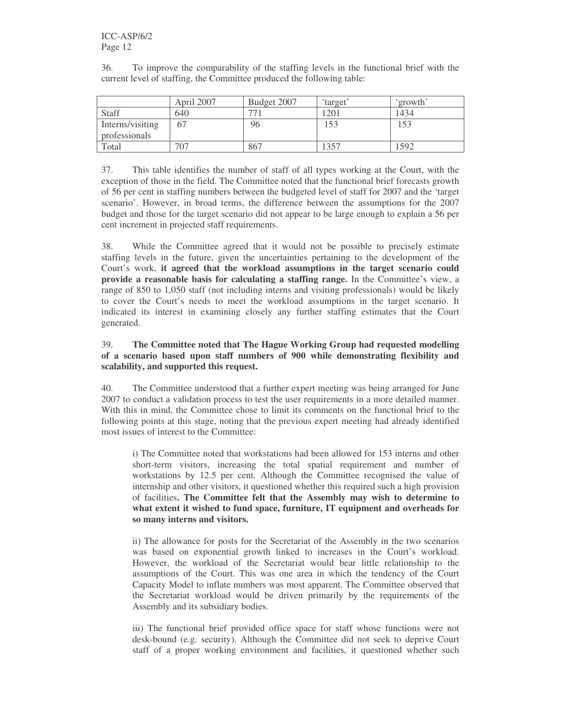| 36. |  | To improve the comparability of the staffing levels in the functional brief with the |  |  |  |  |
|-----|--|--------------------------------------------------------------------------------------|--|--|--|--|
|     |  | current level of staffing, the Committee produced the following table:               |  |  |  |  |

|                  | April 2007 | Budget 2007 | 'target' | 'growth' |
|------------------|------------|-------------|----------|----------|
| Staff            | 640        | 77          | 1201     | 1434     |
| Interns/visiting | 67         | 96          | 153      | 153      |
| professionals    |            |             |          |          |
| Total            | 707        | 867         | 357      | 592      |

37. This table identifies the number of staff of all types working at the Court, with the exception of those in the field. The Committee noted that the functional brief forecasts growth of 56 per cent in staffing numbers between the budgeted level of staff for 2007 and the 'target scenario'. However, in broad terms, the difference between the assumptions for the 2007 budget and those for the target scenario did not appear to be large enough to explain a 56 per cent increment in projected staff requirements.

38. While the Committee agreed that it would not be possible to precisely estimate staffing levels in the future, given the uncertainties pertaining to the development of the Court's work, **it agreed that the workload assumptions in the target scenario could provide a reasonable basis for calculating a staffing range.** In the Committee's view, a range of 850 to 1,050 staff (not including interns and visiting professionals) would be likely to cover the Court's needs to meet the workload assumptions in the target scenario. It indicated its interest in examining closely any further staffing estimates that the Court generated.

#### 39. **The Committee noted that The Hague Working Group had requested modelling of a scenario based upon staff numbers of 900 while demonstrating flexibility and scalability, and supported this request.**

40. The Committee understood that a further expert meeting was being arranged for June 2007 to conduct a validation process to test the user requirements in a more detailed manner. With this in mind, the Committee chose to limit its comments on the functional brief to the following points at this stage, noting that the previous expert meeting had already identified most issues of interest to the Committee:

i) The Committee noted that workstations had been allowed for 153 interns and other short-term visitors, increasing the total spatial requirement and number of workstations by 12.5 per cent. Although the Committee recognised the value of internship and other visitors, it questioned whether this required such a high provision of facilities**. The Committee felt that the Assembly may wish to determine to what extent it wished to fund space, furniture, IT equipment and overheads for so many interns and visitors.**

ii) The allowance for posts for the Secretariat of the Assembly in the two scenarios was based on exponential growth linked to increases in the Court's workload. However, the workload of the Secretariat would bear little relationship to the assumptions of the Court. This was one area in which the tendency of the Court Capacity Model to inflate numbers was most apparent. The Committee observed that the Secretariat workload would be driven primarily by the requirements of the Assembly and its subsidiary bodies.

iii) The functional brief provided office space for staff whose functions were not desk-bound (e.g. security). Although the Committee did not seek to deprive Court staff of a proper working environment and facilities, it questioned whether such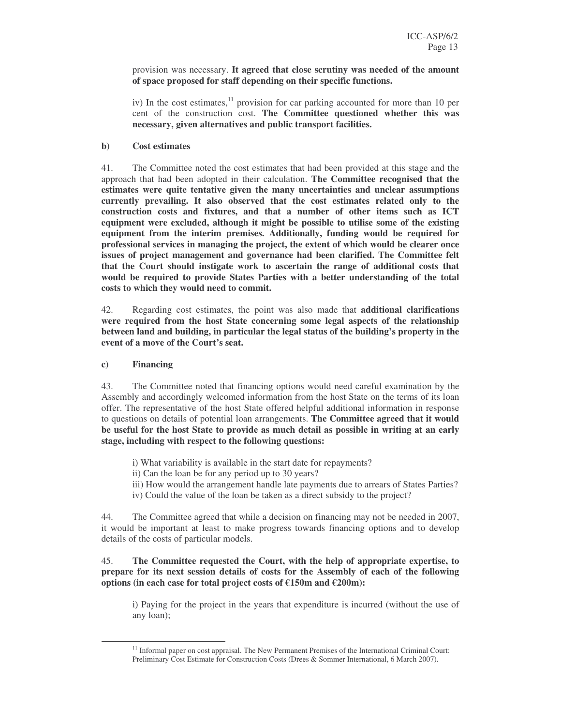provision was necessary. **It agreed that close scrutiny was needed of the amount of space proposed for staff depending on their specific functions.**

iv) In the cost estimates,<sup>11</sup> provision for car parking accounted for more than 10 per cent of the construction cost. **The Committee questioned whether this was necessary, given alternatives and public transport facilities.**

#### **b) Cost estimates**

41. The Committee noted the cost estimates that had been provided at this stage and the approach that had been adopted in their calculation. **The Committee recognised that the estimates were quite tentative given the many uncertainties and unclear assumptions currently prevailing. It also observed that the cost estimates related only to the construction costs and fixtures, and that a number of other items such as ICT equipment were excluded, although it might be possible to utilise some of the existing equipment from the interim premises. Additionally, funding would be required for professional services in managing the project, the extent of which would be clearer once issues of project management and governance had been clarified. The Committee felt that the Court should instigate work to ascertain the range of additional costs that would be required to provide States Parties with a better understanding of the total costs to which they would need to commit.**

42. Regarding cost estimates, the point was also made that **additional clarifications were required from the host State concerning some legal aspects of the relationship between land and building, in particular the legal status of the building's property in the event of a move of the Court's seat.**

#### **c) Financing**

43. The Committee noted that financing options would need careful examination by the Assembly and accordingly welcomed information from the host State on the terms of its loan offer. The representative of the host State offered helpful additional information in response to questions on details of potential loan arrangements. **The Committee agreed that it would be useful for the host State to provide as much detail as possible in writing at an early stage, including with respect to the following questions:**

- i) What variability is available in the start date for repayments?
- ii) Can the loan be for any period up to 30 years?
- iii) How would the arrangement handle late payments due to arrears of States Parties?
- iv) Could the value of the loan be taken as a direct subsidy to the project?

44. The Committee agreed that while a decision on financing may not be needed in 2007, it would be important at least to make progress towards financing options and to develop details of the costs of particular models.

#### 45. **The Committee requested the Court, with the help of appropriate expertise, to prepare for its next session details of costs for the Assembly of each of the following options (in each case for total project costs of €150m and €200m):**

i) Paying for the project in the years that expenditure is incurred (without the use of any loan);

<sup>&</sup>lt;sup>11</sup> Informal paper on cost appraisal. The New Permanent Premises of the International Criminal Court: Preliminary Cost Estimate for Construction Costs (Drees & Sommer International, 6 March 2007).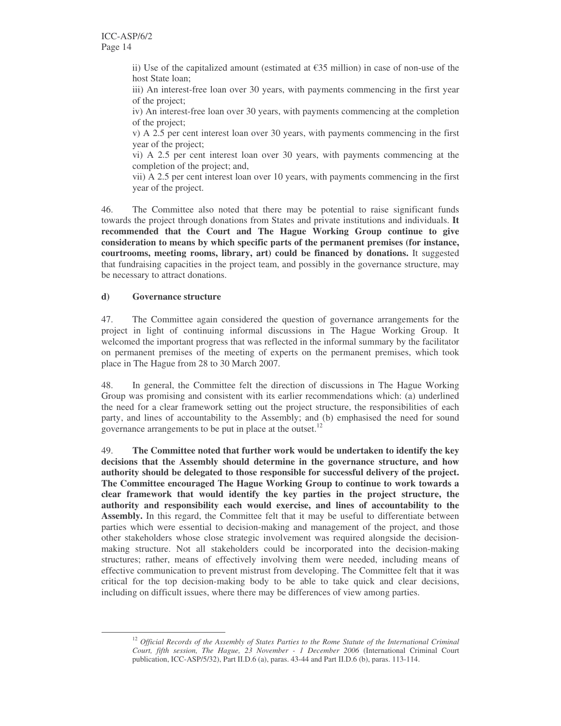ii) Use of the capitalized amount (estimated at  $\epsilon$ 35 million) in case of non-use of the host State loan;

iii) An interest-free loan over 30 years, with payments commencing in the first year of the project;

iv) An interest-free loan over 30 years, with payments commencing at the completion of the project;

v) A 2.5 per cent interest loan over 30 years, with payments commencing in the first year of the project;

vi) A 2.5 per cent interest loan over 30 years, with payments commencing at the completion of the project; and,

vii) A 2.5 per cent interest loan over 10 years, with payments commencing in the first year of the project.

46. The Committee also noted that there may be potential to raise significant funds towards the project through donations from States and private institutions and individuals. **It recommended that the Court and The Hague Working Group continue to give consideration to means by which specific parts of the permanent premises (for instance, courtrooms, meeting rooms, library, art) could be financed by donations.** It suggested that fundraising capacities in the project team, and possibly in the governance structure, may be necessary to attract donations.

#### **d) Governance structure**

47. The Committee again considered the question of governance arrangements for the project in light of continuing informal discussions in The Hague Working Group. It welcomed the important progress that was reflected in the informal summary by the facilitator on permanent premises of the meeting of experts on the permanent premises, which took place in The Hague from 28 to 30 March 2007.

48. In general, the Committee felt the direction of discussions in The Hague Working Group was promising and consistent with its earlier recommendations which: (a) underlined the need for a clear framework setting out the project structure, the responsibilities of each party, and lines of accountability to the Assembly; and (b) emphasised the need for sound governance arrangements to be put in place at the outset.<sup>12</sup>

49. **The Committee noted that further work would be undertaken to identify the key decisions that the Assembly should determine in the governance structure, and how authority should be delegated to those responsible for successful delivery of the project. The Committee encouraged The Hague Working Group to continue to work towards a clear framework that would identify the key parties in the project structure, the authority and responsibility each would exercise, and lines of accountability to the** Assembly. In this regard, the Committee felt that it may be useful to differentiate between parties which were essential to decision-making and management of the project, and those other stakeholders whose close strategic involvement was required alongside the decisionmaking structure. Not all stakeholders could be incorporated into the decision-making structures; rather, means of effectively involving them were needed, including means of effective communication to prevent mistrust from developing. The Committee felt that it was critical for the top decision-making body to be able to take quick and clear decisions, including on difficult issues, where there may be differences of view among parties.

<sup>12</sup> *Official Records of the Assembly of States Parties to the Rome Statute of the International Criminal Court, fifth session, The Hague, 23 November - 1 December 2006* (International Criminal Court publication, ICC-ASP/5/32), Part II.D.6 (a), paras. 43-44 and Part II.D.6 (b), paras. 113-114.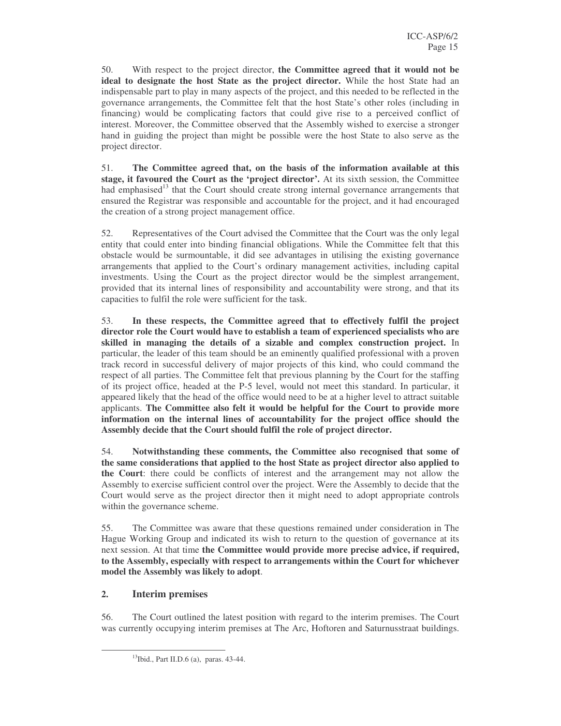50. With respect to the project director, **the Committee agreed that it would not be ideal to designate the host State as the project director.** While the host State had an indispensable part to play in many aspects of the project, and this needed to be reflected in the governance arrangements, the Committee felt that the host State's other roles (including in financing) would be complicating factors that could give rise to a perceived conflict of interest. Moreover, the Committee observed that the Assembly wished to exercise a stronger hand in guiding the project than might be possible were the host State to also serve as the project director.

51. **The Committee agreed that, on the basis of the information available at this stage, it favoured the Court as the 'project director'.** At its sixth session, the Committee had emphasised<sup>13</sup> that the Court should create strong internal governance arrangements that ensured the Registrar was responsible and accountable for the project, and it had encouraged the creation of a strong project management office.

52. Representatives of the Court advised the Committee that the Court was the only legal entity that could enter into binding financial obligations. While the Committee felt that this obstacle would be surmountable, it did see advantages in utilising the existing governance arrangements that applied to the Court's ordinary management activities, including capital investments. Using the Court as the project director would be the simplest arrangement, provided that its internal lines of responsibility and accountability were strong, and that its capacities to fulfil the role were sufficient for the task.

53. **In these respects, the Committee agreed that to effectively fulfil the project director role the Court would have to establish a team of experienced specialists who are skilled in managing the details of a sizable and complex construction project.** In particular, the leader of this team should be an eminently qualified professional with a proven track record in successful delivery of major projects of this kind, who could command the respect of all parties. The Committee felt that previous planning by the Court for the staffing of its project office, headed at the P-5 level, would not meet this standard. In particular, it appeared likely that the head of the office would need to be at a higher level to attract suitable applicants. **The Committee also felt it would be helpful for the Court to provide more information on the internal lines of accountability for the project office should the Assembly decide that the Court should fulfil the role of project director.**

54. **Notwithstanding these comments, the Committee also recognised that some of the same considerations that applied to the host State as project director also applied to the Court**: there could be conflicts of interest and the arrangement may not allow the Assembly to exercise sufficient control over the project. Were the Assembly to decide that the Court would serve as the project director then it might need to adopt appropriate controls within the governance scheme.

55. The Committee was aware that these questions remained under consideration in The Hague Working Group and indicated its wish to return to the question of governance at its next session. At that time **the Committee would provide more precise advice, if required, to the Assembly, especially with respect to arrangements within the Court for whichever model the Assembly was likely to adopt**.

#### **2. Interim premises**

56. The Court outlined the latest position with regard to the interim premises. The Court was currently occupying interim premises at The Arc, Hoftoren and Saturnusstraat buildings.

<sup>&</sup>lt;sup>13</sup>Ibid., Part II.D.6 (a), paras. 43-44.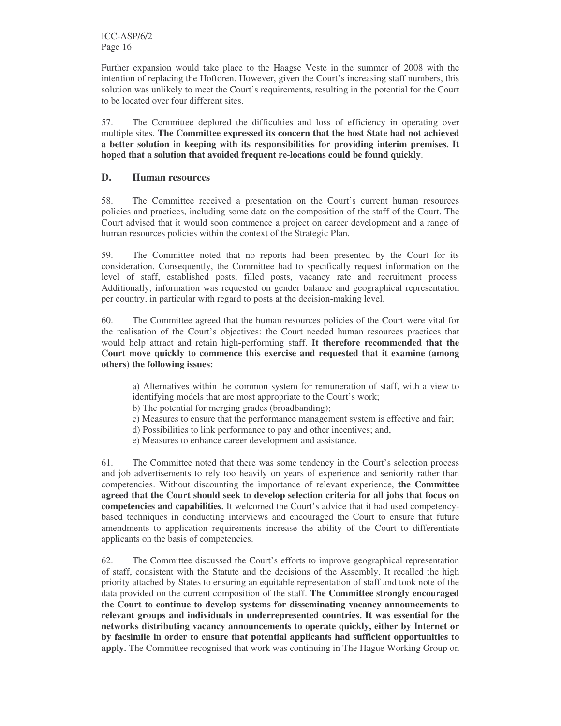Further expansion would take place to the Haagse Veste in the summer of 2008 with the intention of replacing the Hoftoren. However, given the Court's increasing staff numbers, this solution was unlikely to meet the Court's requirements, resulting in the potential for the Court to be located over four different sites.

57. The Committee deplored the difficulties and loss of efficiency in operating over multiple sites. **The Committee expressed its concern that the host State had not achieved a better solution in keeping with its responsibilities for providing interim premises. It hoped that a solution that avoided frequent re-locations could be found quickly**.

#### **D. Human resources**

58. The Committee received a presentation on the Court's current human resources policies and practices, including some data on the composition of the staff of the Court. The Court advised that it would soon commence a project on career development and a range of human resources policies within the context of the Strategic Plan.

59. The Committee noted that no reports had been presented by the Court for its consideration. Consequently, the Committee had to specifically request information on the level of staff, established posts, filled posts, vacancy rate and recruitment process. Additionally, information was requested on gender balance and geographical representation per country, in particular with regard to posts at the decision-making level.

60. The Committee agreed that the human resources policies of the Court were vital for the realisation of the Court's objectives: the Court needed human resources practices that would help attract and retain high-performing staff. **It therefore recommended that the Court move quickly to commence this exercise and requested that it examine (among others) the following issues:**

a) Alternatives within the common system for remuneration of staff, with a view to identifying models that are most appropriate to the Court's work;

b) The potential for merging grades (broadbanding);

- c) Measures to ensure that the performance management system is effective and fair;
- d) Possibilities to link performance to pay and other incentives; and,
- e) Measures to enhance career development and assistance.

61. The Committee noted that there was some tendency in the Court's selection process and job advertisements to rely too heavily on years of experience and seniority rather than competencies. Without discounting the importance of relevant experience, **the Committee agreed that the Court should seek to develop selection criteria for all jobs that focus on competencies and capabilities.** It welcomed the Court's advice that it had used competencybased techniques in conducting interviews and encouraged the Court to ensure that future amendments to application requirements increase the ability of the Court to differentiate applicants on the basis of competencies.

62. The Committee discussed the Court's efforts to improve geographical representation of staff, consistent with the Statute and the decisions of the Assembly. It recalled the high priority attached by States to ensuring an equitable representation of staff and took note of the data provided on the current composition of the staff. **The Committee strongly encouraged the Court to continue to develop systems for disseminating vacancy announcements to relevant groups and individuals in underrepresented countries. It was essential for the networks distributing vacancy announcements to operate quickly, either by Internet or by facsimile in order to ensure that potential applicants had sufficient opportunities to apply.** The Committee recognised that work was continuing in The Hague Working Group on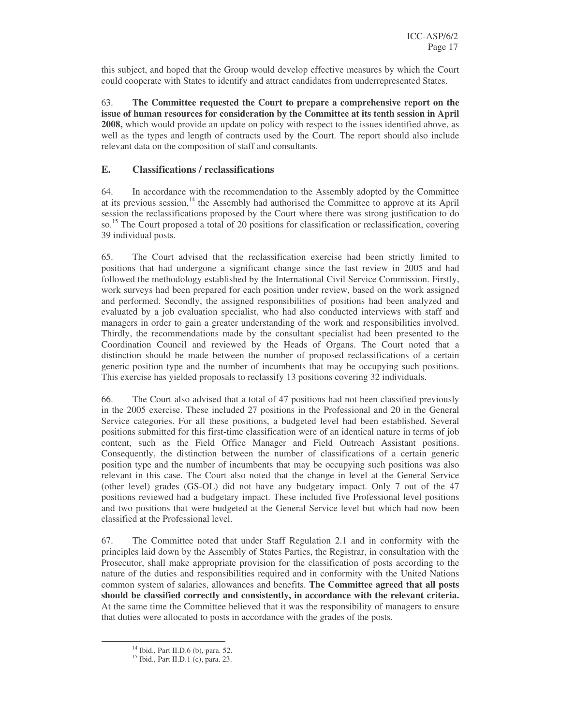this subject, and hoped that the Group would develop effective measures by which the Court could cooperate with States to identify and attract candidates from underrepresented States.

63. **The Committee requested the Court to prepare a comprehensive report on the issue of human resources for consideration by the Committee at its tenth session in April 2008,** which would provide an update on policy with respect to the issues identified above, as well as the types and length of contracts used by the Court. The report should also include relevant data on the composition of staff and consultants.

#### **E. Classifications / reclassifications**

64. In accordance with the recommendation to the Assembly adopted by the Committee at its previous session,<sup>14</sup> the Assembly had authorised the Committee to approve at its April session the reclassifications proposed by the Court where there was strong justification to do so.<sup>15</sup> The Court proposed a total of 20 positions for classification or reclassification, covering 39 individual posts.

65. The Court advised that the reclassification exercise had been strictly limited to positions that had undergone a significant change since the last review in 2005 and had followed the methodology established by the International Civil Service Commission. Firstly, work surveys had been prepared for each position under review, based on the work assigned and performed. Secondly, the assigned responsibilities of positions had been analyzed and evaluated by a job evaluation specialist, who had also conducted interviews with staff and managers in order to gain a greater understanding of the work and responsibilities involved. Thirdly, the recommendations made by the consultant specialist had been presented to the Coordination Council and reviewed by the Heads of Organs. The Court noted that a distinction should be made between the number of proposed reclassifications of a certain generic position type and the number of incumbents that may be occupying such positions. This exercise has yielded proposals to reclassify 13 positions covering 32 individuals.

66. The Court also advised that a total of 47 positions had not been classified previously in the 2005 exercise. These included 27 positions in the Professional and 20 in the General Service categories. For all these positions, a budgeted level had been established. Several positions submitted for this first-time classification were of an identical nature in terms of job content, such as the Field Office Manager and Field Outreach Assistant positions. Consequently, the distinction between the number of classifications of a certain generic position type and the number of incumbents that may be occupying such positions was also relevant in this case. The Court also noted that the change in level at the General Service (other level) grades (GS-OL) did not have any budgetary impact. Only 7 out of the 47 positions reviewed had a budgetary impact. These included five Professional level positions and two positions that were budgeted at the General Service level but which had now been classified at the Professional level.

67. The Committee noted that under Staff Regulation 2.1 and in conformity with the principles laid down by the Assembly of States Parties, the Registrar, in consultation with the Prosecutor, shall make appropriate provision for the classification of posts according to the nature of the duties and responsibilities required and in conformity with the United Nations common system of salaries, allowances and benefits. **The Committee agreed that all posts should be classified correctly and consistently, in accordance with the relevant criteria.** At the same time the Committee believed that it was the responsibility of managers to ensure that duties were allocated to posts in accordance with the grades of the posts.

<sup>14</sup> Ibid., Part II.D.6 (b), para. 52.

<sup>15</sup> Ibid., Part II.D.1 (c), para. 23.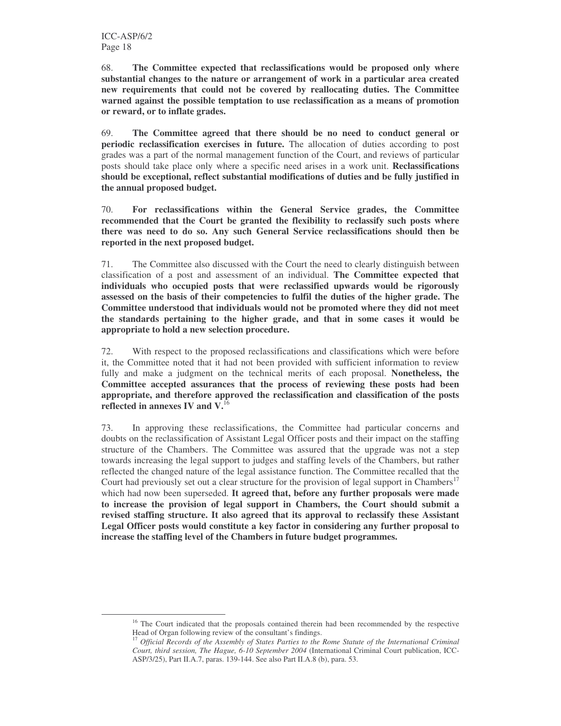68. **The Committee expected that reclassifications would be proposed only where substantial changes to the nature or arrangement of work in a particular area created new requirements that could not be covered by reallocating duties. The Committee warned against the possible temptation to use reclassification as a means of promotion or reward, or to inflate grades.**

69. **The Committee agreed that there should be no need to conduct general or periodic reclassification exercises in future.** The allocation of duties according to post grades was a part of the normal management function of the Court, and reviews of particular posts should take place only where a specific need arises in a work unit. **Reclassifications should be exceptional, reflect substantial modifications of duties and be fully justified in the annual proposed budget.**

70. **For reclassifications within the General Service grades, the Committee recommended that the Court be granted the flexibility to reclassify such posts where there was need to do so. Any such General Service reclassifications should then be reported in the next proposed budget.**

71. The Committee also discussed with the Court the need to clearly distinguish between classification of a post and assessment of an individual. **The Committee expected that individuals who occupied posts that were reclassified upwards would be rigorously assessed on the basis of their competencies to fulfil the duties of the higher grade. The Committee understood that individuals would not be promoted where they did not meet the standards pertaining to the higher grade, and that in some cases it would be appropriate to hold a new selection procedure.**

72. With respect to the proposed reclassifications and classifications which were before it, the Committee noted that it had not been provided with sufficient information to review fully and make a judgment on the technical merits of each proposal. **Nonetheless, the Committee accepted assurances that the process of reviewing these posts had been appropriate, and therefore approved the reclassification and classification of the posts reflected in annexes IV and V.** 16

73. In approving these reclassifications, the Committee had particular concerns and doubts on the reclassification of Assistant Legal Officer posts and their impact on the staffing structure of the Chambers. The Committee was assured that the upgrade was not a step towards increasing the legal support to judges and staffing levels of the Chambers, but rather reflected the changed nature of the legal assistance function. The Committee recalled that the Court had previously set out a clear structure for the provision of legal support in Chambers<sup>17</sup> which had now been superseded. **It agreed that, before any further proposals were made to increase the provision of legal support in Chambers, the Court should submit a revised staffing structure. It also agreed that its approval to reclassify these Assistant Legal Officer posts would constitute a key factor in considering any further proposal to increase the staffing level of the Chambers in future budget programmes.**

<sup>&</sup>lt;sup>16</sup> The Court indicated that the proposals contained therein had been recommended by the respective Head of Organ following review of the consultant's findings.

<sup>17</sup> *Official Records of the Assembly of States Parties to the Rome Statute of the International Criminal Court, third session, The Hague, 6-10 September 2004* (International Criminal Court publication, ICC-ASP/3/25), Part II.A.7, paras. 139-144. See also Part II.A.8 (b), para. 53.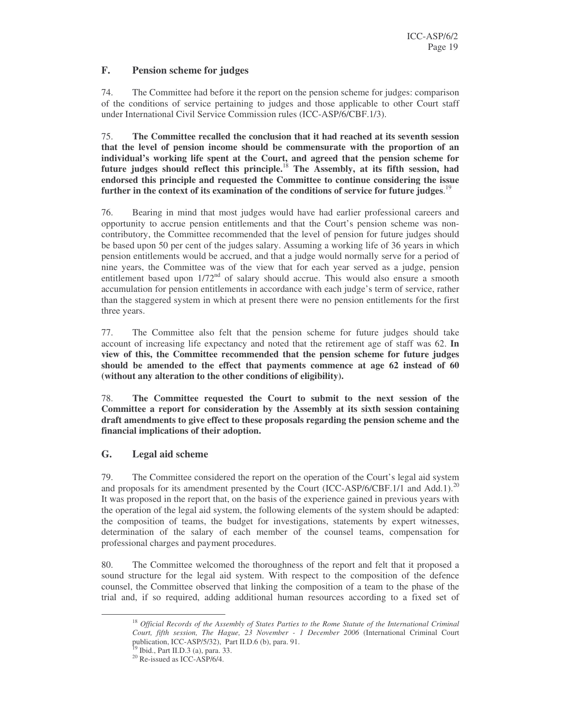#### **F. Pension scheme for judges**

74. The Committee had before it the report on the pension scheme for judges: comparison of the conditions of service pertaining to judges and those applicable to other Court staff under International Civil Service Commission rules (ICC-ASP/6/CBF.1/3).

75. **The Committee recalled the conclusion that it had reached at its seventh session that the level of pension income should be commensurate with the proportion of an individual's working life spent at the Court, and agreed that the pension scheme for future judges should reflect this principle.** <sup>18</sup> **The Assembly, at its fifth session, had endorsed this principle and requested the Committee to continue considering the issue further in the context of its examination of the conditions of service for future judges**. 19

76. Bearing in mind that most judges would have had earlier professional careers and opportunity to accrue pension entitlements and that the Court's pension scheme was noncontributory, the Committee recommended that the level of pension for future judges should be based upon 50 per cent of the judges salary. Assuming a working life of 36 years in which pension entitlements would be accrued, and that a judge would normally serve for a period of nine years, the Committee was of the view that for each year served as a judge, pension entitlement based upon 1/72<sup>nd</sup> of salary should accrue. This would also ensure a smooth accumulation for pension entitlements in accordance with each judge's term of service, rather than the staggered system in which at present there were no pension entitlements for the first three years.

77. The Committee also felt that the pension scheme for future judges should take account of increasing life expectancy and noted that the retirement age of staff was 62. **In view of this, the Committee recommended that the pension scheme for future judges should be amended to the effect that payments commence at age 62 instead of 60 (without any alteration to the other conditions of eligibility).**

78. **The Committee requested the Court to submit to the next session of the Committee a report for consideration by the Assembly at its sixth session containing draft amendments to give effect to these proposals regarding the pension scheme and the financial implications of their adoption.**

#### **G. Legal aid scheme**

79. The Committee considered the report on the operation of the Court's legal aid system and proposals for its amendment presented by the Court (ICC-ASP/6/CBF.1/1 and Add.1).<sup>20</sup> It was proposed in the report that, on the basis of the experience gained in previous years with the operation of the legal aid system, the following elements of the system should be adapted: the composition of teams, the budget for investigations, statements by expert witnesses, determination of the salary of each member of the counsel teams, compensation for professional charges and payment procedures.

80. The Committee welcomed the thoroughness of the report and felt that it proposed a sound structure for the legal aid system. With respect to the composition of the defence counsel, the Committee observed that linking the composition of a team to the phase of the trial and, if so required, adding additional human resources according to a fixed set of

<sup>18</sup> *Official Records of the Assembly of States Parties to the Rome Statute of the International Criminal Court, fifth session, The Hague, 23 November - 1 December 2006* (International Criminal Court publication, ICC-ASP/5/32), Part II.D.6 (b), para. 91.

<sup>&</sup>lt;sup>19</sup> Ibid., Part II.D.3 (a), para. 33.

<sup>&</sup>lt;sup>20</sup> Re-issued as ICC-ASP/6/4.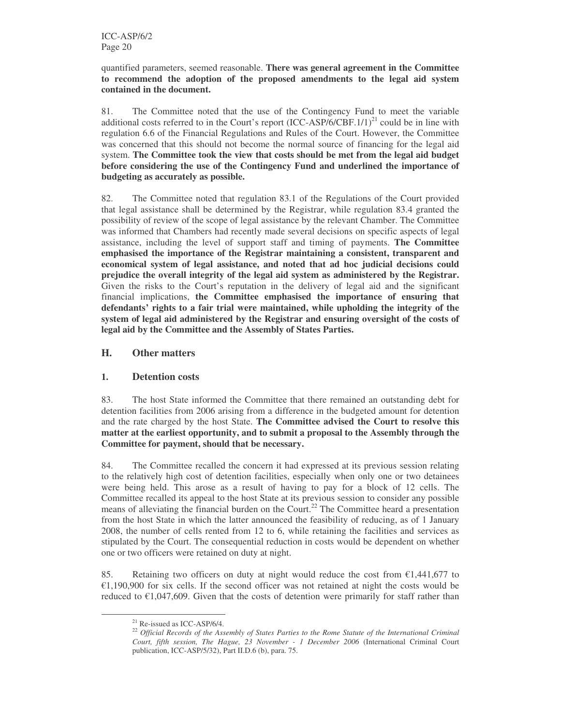quantified parameters, seemed reasonable. **There was general agreement in the Committee to recommend the adoption of the proposed amendments to the legal aid system contained in the document.**

81. The Committee noted that the use of the Contingency Fund to meet the variable additional costs referred to in the Court's report  ${(ICC-ASP/6/CBF.1/1)}^{21}$  could be in line with regulation 6.6 of the Financial Regulations and Rules of the Court. However, the Committee was concerned that this should not become the normal source of financing for the legal aid system. **The Committee took the view that costs should be met from the legal aid budget before considering the use of the Contingency Fund and underlined the importance of budgeting as accurately as possible.**

82. The Committee noted that regulation 83.1 of the Regulations of the Court provided that legal assistance shall be determined by the Registrar, while regulation 83.4 granted the possibility of review of the scope of legal assistance by the relevant Chamber. The Committee was informed that Chambers had recently made several decisions on specific aspects of legal assistance, including the level of support staff and timing of payments. **The Committee emphasised the importance of the Registrar maintaining a consistent, transparent and economical system of legal assistance, and noted that ad hoc judicial decisions could prejudice the overall integrity of the legal aid system as administered by the Registrar.** Given the risks to the Court's reputation in the delivery of legal aid and the significant financial implications, **the Committee emphasised the importance of ensuring that defendants' rights to a fair trial were maintained, while upholding the integrity of the system of legal aid administered by the Registrar and ensuring oversight of the costs of legal aid by the Committee and the Assembly of States Parties.**

#### **H. Other matters**

#### **1. Detention costs**

83. The host State informed the Committee that there remained an outstanding debt for detention facilities from 2006 arising from a difference in the budgeted amount for detention and the rate charged by the host State. **The Committee advised the Court to resolve this matter at the earliest opportunity, and to submit a proposal to the Assembly through the Committee for payment, should that be necessary.**

84. The Committee recalled the concern it had expressed at its previous session relating to the relatively high cost of detention facilities, especially when only one or two detainees were being held. This arose as a result of having to pay for a block of 12 cells. The Committee recalled its appeal to the host State at its previous session to consider any possible means of alleviating the financial burden on the Court.<sup>22</sup> The Committee heard a presentation from the host State in which the latter announced the feasibility of reducing, as of 1 January 2008, the number of cells rented from 12 to 6, while retaining the facilities and services as stipulated by the Court. The consequential reduction in costs would be dependent on whether one or two officers were retained on duty at night.

85. Retaining two officers on duty at night would reduce the cost from  $\epsilon$ 1,441,677 to  $\epsilon$ 1,190,900 for six cells. If the second officer was not retained at night the costs would be reduced to  $\epsilon$ 1,047,609. Given that the costs of detention were primarily for staff rather than

<sup>21</sup> Re-issued as ICC-ASP/6/4.

<sup>22</sup> *Official Records of the Assembly of States Parties to the Rome Statute of the International Criminal Court, fifth session, The Hague, 23 November - 1 December 2006* (International Criminal Court publication, ICC-ASP/5/32), Part II.D.6 (b), para. 75.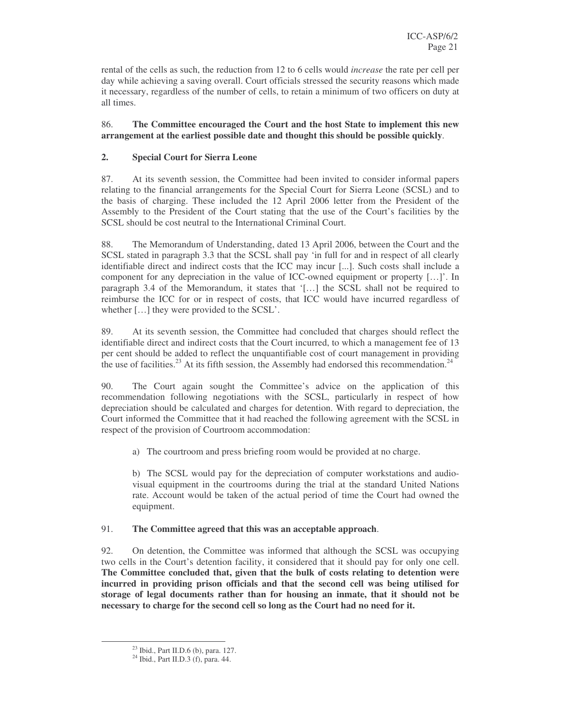rental of the cells as such, the reduction from 12 to 6 cells would *increase* the rate per cell per day while achieving a saving overall. Court officials stressed the security reasons which made it necessary, regardless of the number of cells, to retain a minimum of two officers on duty at all times.

#### 86. **The Committee encouraged the Court and the host State to implement this new arrangement at the earliest possible date and thought this should be possible quickly**.

#### **2. Special Court for Sierra Leone**

87. At its seventh session, the Committee had been invited to consider informal papers relating to the financial arrangements for the Special Court for Sierra Leone (SCSL) and to the basis of charging. These included the 12 April 2006 letter from the President of the Assembly to the President of the Court stating that the use of the Court's facilities by the SCSL should be cost neutral to the International Criminal Court.

88. The Memorandum of Understanding, dated 13 April 2006, between the Court and the SCSL stated in paragraph 3.3 that the SCSL shall pay 'in full for and in respect of all clearly identifiable direct and indirect costs that the ICC may incur [...]. Such costs shall include a component for any depreciation in the value of ICC-owned equipment or property […]'. In paragraph 3.4 of the Memorandum, it states that '[…] the SCSL shall not be required to reimburse the ICC for or in respect of costs, that ICC would have incurred regardless of whether […] they were provided to the SCSL'.

89. At its seventh session, the Committee had concluded that charges should reflect the identifiable direct and indirect costs that the Court incurred, to which a management fee of 13 per cent should be added to reflect the unquantifiable cost of court management in providing the use of facilities.<sup>23</sup> At its fifth session, the Assembly had endorsed this recommendation.<sup>24</sup>

90. The Court again sought the Committee's advice on the application of this recommendation following negotiations with the SCSL, particularly in respect of how depreciation should be calculated and charges for detention. With regard to depreciation, the Court informed the Committee that it had reached the following agreement with the SCSL in respect of the provision of Courtroom accommodation:

a) The courtroom and press briefing room would be provided at no charge.

b) The SCSL would pay for the depreciation of computer workstations and audiovisual equipment in the courtrooms during the trial at the standard United Nations rate. Account would be taken of the actual period of time the Court had owned the equipment.

#### 91. **The Committee agreed that this was an acceptable approach**.

92. On detention, the Committee was informed that although the SCSL was occupying two cells in the Court's detention facility, it considered that it should pay for only one cell. **The Committee concluded that, given that the bulk of costs relating to detention were incurred in providing prison officials and that the second cell was being utilised for storage of legal documents rather than for housing an inmate, that it should not be necessary to charge for the second cell so long as the Court had no need for it.**

<sup>&</sup>lt;sup>23</sup> Ibid., Part II.D.6 (b), para. 127.

<sup>24</sup> Ibid., Part II.D.3 (f), para. 44.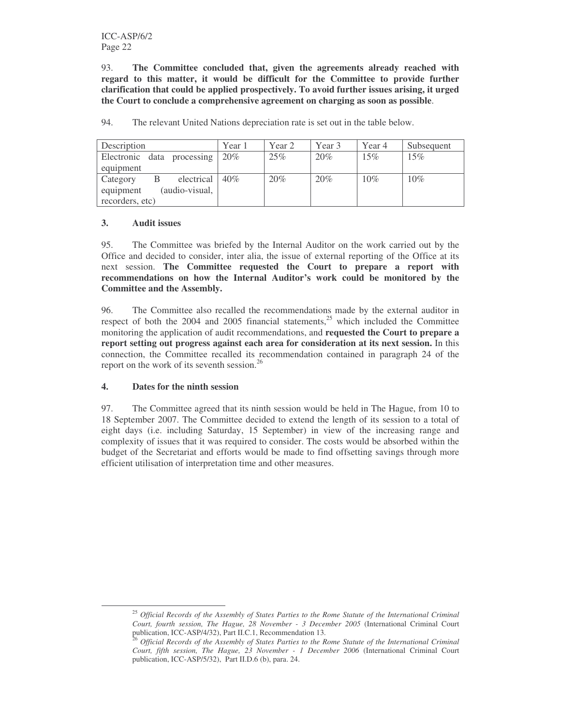93. **The Committee concluded that, given the agreements already reached with regard to this matter, it would be difficult for the Committee to provide further clarification that could be applied prospectively. To avoid further issues arising, it urged the Court to conclude a comprehensive agreement on charging as soon as possible**.

| Description                 | Year 1 | Year 2 | Year 3 | Year 4 | Subsequent |
|-----------------------------|--------|--------|--------|--------|------------|
| Electronic data processing  | 20%    | 25%    | 20%    | 15%    | 15%        |
| equipment                   |        |        |        |        |            |
| electrical<br>Category<br>В | 40%    | 20%    | 20%    | 10%    | 10%        |
| (audio-visual,<br>equipment |        |        |        |        |            |
| recorders, etc)             |        |        |        |        |            |

94. The relevant United Nations depreciation rate is set out in the table below.

#### **3. Audit issues**

95. The Committee was briefed by the Internal Auditor on the work carried out by the Office and decided to consider, inter alia, the issue of external reporting of the Office at its next session. **The Committee requested the Court to prepare a report with recommendations on how the Internal Auditor's work could be monitored by the Committee and the Assembly.**

96. The Committee also recalled the recommendations made by the external auditor in respect of both the 2004 and 2005 financial statements, $25$  which included the Committee monitoring the application of audit recommendations, and **requested the Court to prepare a report setting out progress against each area for consideration at its next session.** In this connection, the Committee recalled its recommendation contained in paragraph 24 of the report on the work of its seventh session.<sup>26</sup>

#### **4. Dates for the ninth session**

97. The Committee agreed that its ninth session would be held in The Hague, from 10 to 18 September 2007. The Committee decided to extend the length of its session to a total of eight days (i.e. including Saturday, 15 September) in view of the increasing range and complexity of issues that it was required to consider. The costs would be absorbed within the budget of the Secretariat and efforts would be made to find offsetting savings through more efficient utilisation of interpretation time and other measures.

<sup>25</sup> *Official Records of the Assembly of States Parties to the Rome Statute of the International Criminal Court, fourth session, The Hague, 28 November - 3 December 2005* (International Criminal Court publication, ICC-ASP/4/32), Part II.C.1, Recommendation 13.

<sup>26</sup> *Official Records of the Assembly of States Parties to the Rome Statute of the International Criminal Court, fifth session, The Hague, 23 November - 1 December 2006* (International Criminal Court publication, ICC-ASP/5/32), Part II.D.6 (b), para. 24.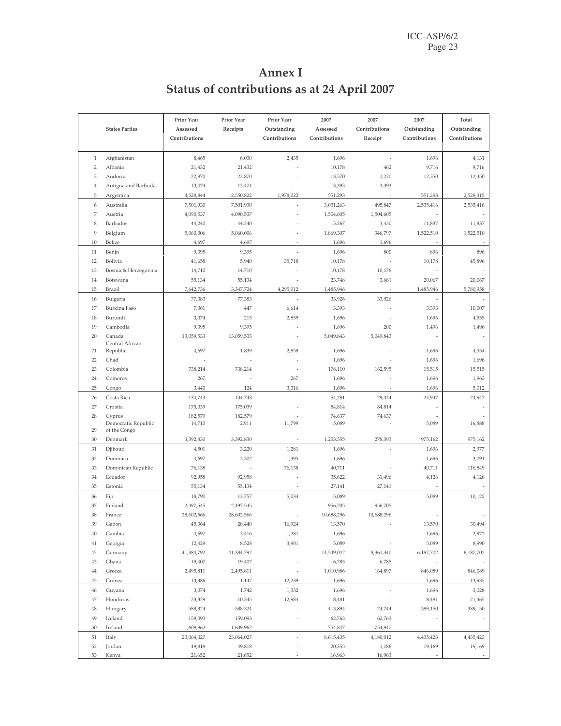| Annex I                                     |
|---------------------------------------------|
| Status of contributions as at 24 April 2007 |
|                                             |

|                |                                     | Prior Year    | Prior Year | Prior Year    | 2007          | 2007                  | 2007          | Total         |
|----------------|-------------------------------------|---------------|------------|---------------|---------------|-----------------------|---------------|---------------|
|                | <b>States Parties</b>               | Assessed      | Receipts   | Outstanding   | Assessed      | Contributions         | Outstanding   | Outstanding   |
|                |                                     | Contributions |            | Contributions | Contributions | Receipt               | Contributions | Contributions |
|                |                                     |               |            |               |               |                       |               |               |
| $\,1\,$        | Afghanistan                         | 8,465         | 6,030      | 2,435         | 1,696         | ÷,                    | 1,696         | 4,131         |
| $\overline{2}$ | Albania                             | 21,432        | 21,432     |               | 10,178        | 462                   | 9,716         | 9,716         |
| 3              | Andorra                             | 22,870        | 22,870     |               | 13,570        | 1,220                 | 12,350        | 12,350        |
| $\overline{4}$ | Antigua and Barbuda                 | 13,474        | 13,474     |               | 3,393         | 3,393                 |               |               |
| 5              | Argentina                           | 4,528,844     | 2,550,822  | 1,978,022     | 551,293       |                       | 551,293       | 2,529,315     |
| 6              | Australia                           | 7,501,930     | 7,501,930  |               | 3,031,263     | 495,847               | 2,535,416     | 2,535,416     |
| 7              | Austria                             | 4,090,537     | 4,090,537  |               | 1,504,605     | 1,504,605             |               |               |
| 8              | Barbados                            | 44,240        | 44,240     | ä,            | 15,267        | 3,430                 | 11,837        | 11,837        |
| 9              | Belgium                             | 5,060,006     | 5,060,006  |               | 1,869,307     | 346,797               | 1,522,510     | 1,522,510     |
| 10             | Belize                              | 4,697         | 4,697      |               | 1,696         | 1,696                 |               |               |
| 11             | Benin                               | 9,395         | 9,395      |               | 1,696         | 800                   | 896           | 896           |
| 12             | Bolivia                             | 41,658        | 5,940      | 35,718        | 10,178        |                       | 10,178        | 45,896        |
| 13             | Bosnia & Herzegovina                | 14,710        | 14,710     |               | 10,178        | 10,178                |               |               |
| 14             | Botswana                            | 55,134        | 55,134     |               | 23,748        | 3,681                 | 20,067        | 20,067        |
| 15             | Brazil                              | 7,642,736     | 3,347,724  | 4,295,012     | 1,485,946     |                       | 1,485,946     | 5,780,958     |
| 16             | Bulgaria                            | 77,383        | 77,383     |               | 33,926        | 33,926                |               |               |
| 17             | <b>Burkina Faso</b>                 | 7,061         | 447        | 6,614         | 3,393         |                       | 3,393         | 10,007        |
| 18             | Burundi                             | 3,074         | 215        | 2,859         | 1,696         |                       | 1,696         | 4,555         |
| 19             | Cambodia                            | 9,395         | 9,395      |               | 1,696         | 200                   | 1,496         | 1,496         |
| 20             | Canada                              | 13,059,533    | 13,059,533 |               | 5,049,843     | 5,049,843             |               |               |
|                | Central African                     |               |            |               |               |                       |               |               |
| 21             | Republic                            | 4,697         | 1,839      | 2,858         | 1,696         |                       | 1,696         | 4,554         |
| 22             | Chad                                |               |            |               | 1,696         |                       | 1,696         | 1,696         |
| 23             | Colombia                            | 738,214       | 738,214    |               | 178,110       | 162,595               | 15,515        | 15,515        |
| 24             | Comoros                             | 267           |            | 267           | 1,696         |                       | 1,696         | 1,963         |
| 25             | Congo                               | 3,440         | 124        | 3,316         | 1,696         |                       | 1,696         | 5,012         |
| 26             | Costa Rica                          | 134,743       | 134,743    |               | 54,281        | 29,334                | 24,947        | 24,947        |
| 27             | Croatia                             | 175,039       | 175,039    |               | 84,814        | 84,814                |               |               |
| 28             | Cyprus                              | 182,579       | 182,579    |               | 74,637        | 74,637                |               |               |
| 29             | Democratic Republic<br>of the Congo | 14,710        | 2,911      | 11,799        | 5,089         |                       | 5,089         | 16,888        |
| 30             | Denmark                             | 3,392,830     | 3,392,830  |               | 1,253,555     | 278,393               | 975,162       | 975,162       |
| 31             | Djibouti                            | 4,501         | 3,220      | 1,281         | 1,696         |                       | 1,696         | 2,977         |
| 32             | Dominica                            | 4,697         | 3,302      | 1,395         | 1,696         |                       | 1,696         | 3,091         |
| 33             | Dominican Republic                  | 76,138        |            | 76,138        | 40,711        |                       | 40,711        | 116,849       |
| 34             | Ecuador                             | 92,958        | 92,958     |               | 35,622        | 31,496                | 4,126         | 4,126         |
| 35             | Estonia                             | 55,134        | 55,134     |               | 27,141        | 27,141                |               |               |
|                |                                     |               |            |               |               |                       | 5,089         |               |
| 36             | Fiji                                | 18,790        | 13,757     | 5,033         | 5,089         |                       |               | 10,122        |
| 37<br>38       | Finland                             | 2,497,545     | 2,497,545  |               | 956,705       | 956,705<br>10,688,296 |               |               |
|                | France                              | 28,602,566    | 28,602,566 |               | 10,688,296    |                       |               |               |
| 39             | Gabon                               | 45,364        | 28,440     | 16,924        | 13,570        |                       | 13,570        | 30,494        |
| $40\,$         | Gambia                              | 4,697         | 3,416      | 1,281         | 1,696         |                       | 1,696         | 2,977         |
| 41             | Georgia                             | 12,429        | 8,528      | 3,901         | 5,089         |                       | 5,089         | 8,990         |
| 42             | Germany                             | 41,384,792    | 41,384,792 |               | 14,549,042    | 8,361,340             | 6,187,702     | 6,187,702     |
| 43             | Ghana                               | 19,407        | 19,407     |               | 6,785         | 6,785                 |               |               |
| 44             | Greece                              | 2,495,811     | 2,495,811  |               | 1,010,986     | 164,897               | 846,089       | 846,089       |
| 45             | Guinea                              | 13,386        | 1,147      | 12,239        | 1,696         |                       | 1,696         | 13,935        |
| 46             | Guyana                              | 3,074         | 1,742      | 1,332         | 1,696         |                       | 1,696         | 3,028         |
| 47             | Honduras                            | 23,329        | 10,345     | 12,984        | 8,481         |                       | 8,481         | 21,465        |
| 48             | Hungary                             | 588,324       | 588,324    |               | 413,894       | 24,744                | 389,150       | 389,150       |
| 49             | Iceland                             | 159,093       | 159,093    | ÷,            | 62,763        | 62,763                |               |               |
| 50             | Ireland                             | 1,609,962     | 1,609,962  |               | 754,847       | 754,847               |               |               |
| 51             | Italy                               | 23,064,027    | 23,064,027 |               | 8,615,435     | 4,180,012             | 4,435,423     | 4,435,423     |
| 52             | Jordan                              | 49,818        | 49,818     |               | 20,355        | 1,186                 | 19,169        | 19,169        |
| 53             | Kenya                               | 21,652        | 21,652     |               | 16,963        | 16,963                |               |               |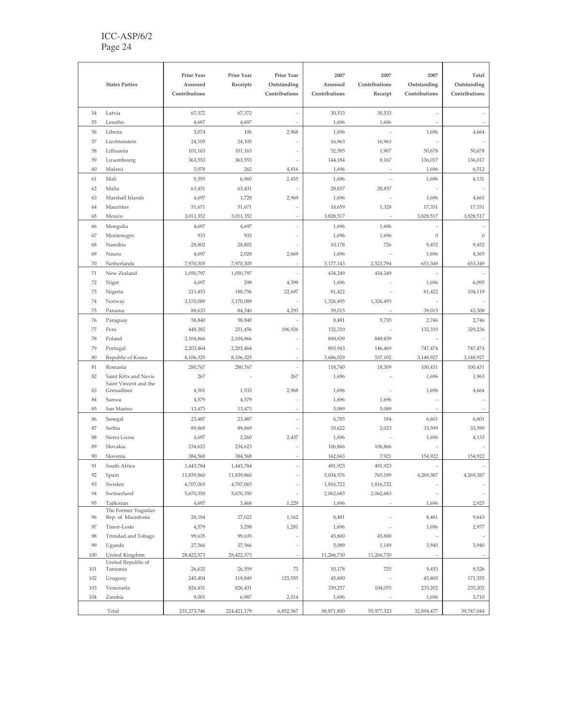#### ICC-ASP/6/2 Page 24

|          |                                   | Prior Year           | Prior Year           | Prior Year    | 2007                | 2007          | 2007             | Total            |
|----------|-----------------------------------|----------------------|----------------------|---------------|---------------------|---------------|------------------|------------------|
|          | <b>States Parties</b>             | Assessed             | Receipts             | Outstanding   | Assessed            | Contributions | Outstanding      | Outstanding      |
|          |                                   | Contributions        |                      | Contributions | Contributions       | Receipt       | Contributions    | Contributions    |
| 54       | Latvia                            | 67,372               | 67,372               |               | 30,533              | 30,533        |                  |                  |
| 55       | Lesotho                           | 4,697                | 4,697                |               | 1,696               | 1,696         |                  |                  |
| 56       | Liberia                           | 3,074                | 106                  | 2,968         | 1,696               |               | 1,696            | 4,664            |
| 57       | Liechtenstein                     | 24,105               | 24,105               |               | 16,963              | 16,963        |                  |                  |
| 58       | Lithuania                         | 101,163              | 101,163              |               | 52,585              | 1,907         | 50,678           | 50,678           |
| 59       | Luxembourg                        | 363,553              | 363,553              |               | 144,184             | 8,167         | 136,017          | 136,017          |
| 60       | Malawi                            | 5,078                | 262                  | 4,816         | 1,696               |               | 1,696            | 6,512            |
| 61       | Mali                              | 9,395                | 6,960                | 2,435         | 1,696               |               | 1,696            | 4,131            |
| 62       | Malta                             | 63,431               | 63,431               |               | 28,837              | 28,837        |                  |                  |
| 63       | Marshall Islands                  | 4,697                | 1,728                | 2,969         | 1,696               |               | 1,696            | 4,665            |
| 64       | Mauritius                         | 51,671               | 51,671               |               | 18,659              | 1,328         | 17,331           | 17,331           |
| 65       | Mexico                            | 3,011,352            | 3,011,352            |               | 3,828,517           |               | 3,828,517        | 3,828,517        |
| 66       | Mongolia                          | 4,697                | 4,697                |               | 1,696               | 1,696         |                  |                  |
| 67       | Montenegro                        | 933                  | 933                  |               | 1,696               | 1,696         | $\boldsymbol{0}$ | $\theta$         |
| 68       | Namibia                           | 28,802               | 28,802               |               | 10,178              | 726           | 9,452            | 9,452            |
| 69       | Nauru                             | 4,697                | 2,028                | 2,669         | 1,696               |               | 1,696            | 4,365            |
| 70       | Netherlands                       | 7,970,305            | 7,970,305            |               | 3,177,143           | 2,523,794     | 653,349          | 653,349          |
| 71       | New Zealand                       | 1,050,797            | 1,050,797            |               | 434,249             | 434,249       |                  |                  |
| 72       | Niger                             | 4,697                | 298                  | 4,399         | 1,696               |               | 1,696            | 6,095            |
| 73<br>74 | Nigeria                           | 211,453<br>3,170,089 | 188,756<br>3,170,089 | 22,697        | 81,422<br>1,326,495 |               | 81,422           | 104,119          |
| 75       | Norway                            | 88,633               | 84,340               | 4,293         | 39,015              | 1,326,495     | 39,015           | 43,308           |
|          | Panama                            |                      |                      |               |                     |               |                  |                  |
| 76<br>77 | Paraguay                          | 58,840<br>448,382    | 58,840<br>251,456    | 196,926       | 8,481<br>132,310    | 5,735         | 2,746<br>132,310 | 2,746<br>329,236 |
| 78       | Peru<br>Poland                    | 2,104,866            | 2,104,866            |               | 849,839             | 849,839       |                  |                  |
| 79       | Portugal                          | 2,203,464            | 2,203,464            |               | 893,943             | 146,469       | 747,474          | 747,474          |
| 80       | Republic of Korea                 | 8,106,325            | 8,106,325            |               | 3,686,029           | 537,102       | 3,148,927        | 3,148,927        |
| 81       | Romania                           | 280,767              | 280,767              |               | 118,740             | 18,309        | 100,431          | 100,431          |
| 82       | Saint Kitts and Nevis             | 267                  |                      | 267           | 1,696               |               | 1,696            | 1,963            |
|          | Saint Vincent and the             |                      |                      |               |                     |               |                  |                  |
| 83       | Grenadines                        | 4,501                | 1,533                | 2,968         | 1,696               |               | 1,696            | 4,664            |
| 84       | Samoa                             | 4,579                | 4,579                |               | 1,696               | 1,696         |                  |                  |
| 85       | San Marino                        | 13,473               | 13,473               |               | 5,089               | 5,089         |                  |                  |
| 86       | Senegal                           | 23,487               | 23,487               |               | 6,785               | 184           | 6,601            | 6,601            |
| 87       | Serbia                            | 89,869               | 89,869               |               | 35,622              | 2,023         | 33,599           | 33,599           |
| 88       | Sierra Leone                      | 4,697                | 2,260                | 2,437         | 1,696               |               | 1,696            | 4,133            |
| 89       | Slovakia                          | 234,623              | 234,623              |               | 106,866             | 106,866       |                  |                  |
| 90       | Slovenia                          | 384,568              | 384,568              |               | 162,843             | 7,921         | 154,922          | 154,922          |
| 91       | South Africa                      | 1,443,784            | 1,443,784            |               | 491,923             | 491,923       |                  |                  |
| 92       | Spain                             | 11,839,860           | 11,839,860           |               | 5,034,576           | 765,189       | 4,269,387        | 4,269,387        |
| 93       | Sweden                            | 4,707,065            | 4,707,065            |               | 1,816,722           | 1,816,722     |                  |                  |
| 94       | Switzerland                       | 5,670,350            | 5,670,350            |               | 2,062,683           | 2,062,683     |                  |                  |
| 95       | Tajikistan<br>The Former Yugoslav | 4,697                | 3,468                | 1,229         | 1,696               |               | 1,696            | 2,925            |
| 96       | Rep. of Macedonia                 | 28,184               | 27,022               | 1,162         | 8,481               |               | 8,481            | 9,643            |
| 97       | Timor-Leste                       | 4,579                | 3,298                | 1,281         | 1,696               |               | 1,696            | 2,977            |
| 98       | Trinidad and Tobago               | 99,635               | 99,635               |               | 45,800              | 45,800        |                  |                  |
| 99       | Uganda                            | 27,566               | 27,566               |               | 5,089               | 1,149         | 3,940            | 3,940            |
| 100      | United Kingdom                    | 28,422,573           | 28,422,573           |               | 11,266,730          | 11,266,730    |                  |                  |
| 101      | United Republic of<br>Tanzania    | 26,632               | 26,559               | 73            | 10,178              | 725           | 9,453            | 9,526            |
| 102      | Uruguay                           | 245,404              | 119,849              | 125,555       | 45,800              |               | 45,800           | 171,355          |
| 103      | Venezuela                         | 826,431              | 826,431              |               | 339,257             | 104,055       | 235,202          | 235,202          |
| 104      | Zambia                            | 9,001                | 6,987                | 2,014         | 1,696               |               | 1,696            | 3,710            |
|          | Total                             | 231, 273, 746        | 224,421,179          | 6,852,567     | 88,871,800          | 55,977,323    | 32,894,477       | 39,747,044       |
|          |                                   |                      |                      |               |                     |               |                  |                  |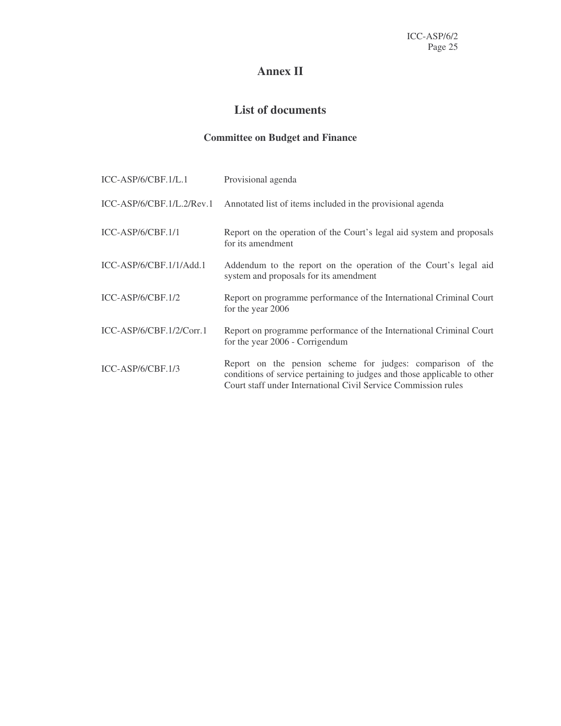## **Annex II**

## **List of documents**

## **Committee on Budget and Finance**

| ICC-ASP/6/CBF.1/L.1         | Provisional agenda                                                                                                                                                                                       |
|-----------------------------|----------------------------------------------------------------------------------------------------------------------------------------------------------------------------------------------------------|
| $ICC-ASP/6/CBF.1/L.2/Rev.1$ | Annotated list of items included in the provisional agenda                                                                                                                                               |
| $ICC-ASP/6/CBF.1/1$         | Report on the operation of the Court's legal aid system and proposals<br>for its amendment                                                                                                               |
| ICC-ASP/6/CBF.1/1/Add.1     | Addendum to the report on the operation of the Court's legal aid<br>system and proposals for its amendment                                                                                               |
| $ICC-ASP/6/CBF.1/2$         | Report on programme performance of the International Criminal Court<br>for the year 2006                                                                                                                 |
| $ICC-ASP/6/CBF.1/2/Corr.1$  | Report on programme performance of the International Criminal Court<br>for the year 2006 - Corrigendum                                                                                                   |
| $ICC-ASP/6/CBF.1/3$         | Report on the pension scheme for judges: comparison of the<br>conditions of service pertaining to judges and those applicable to other<br>Court staff under International Civil Service Commission rules |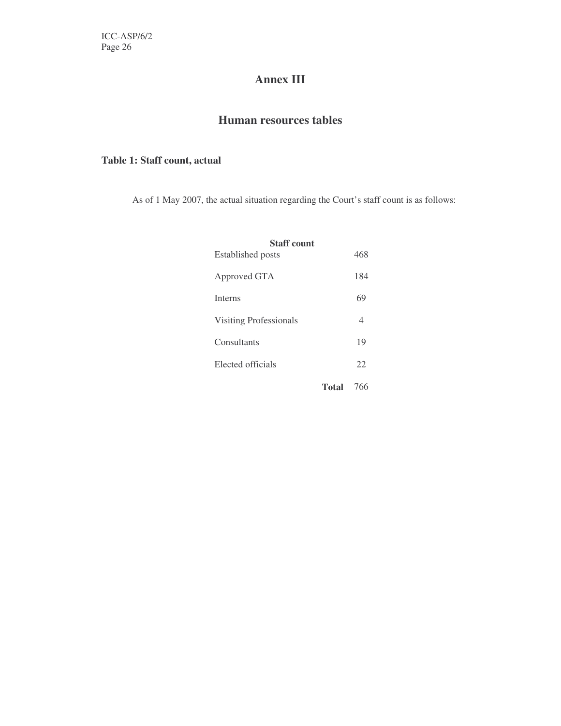## **Annex III**

## **Human resources tables**

#### **Table 1: Staff count, actual**

As of 1 May 2007, the actual situation regarding the Court's staff count is as follows:

| <b>Staff count</b>            |       |     |
|-------------------------------|-------|-----|
| Established posts             |       | 468 |
| Approved GTA                  |       | 184 |
| <b>Interns</b>                |       | 69  |
| <b>Visiting Professionals</b> |       | 4   |
| Consultants                   |       | 19  |
| Elected officials             |       | 22  |
|                               | Total | 766 |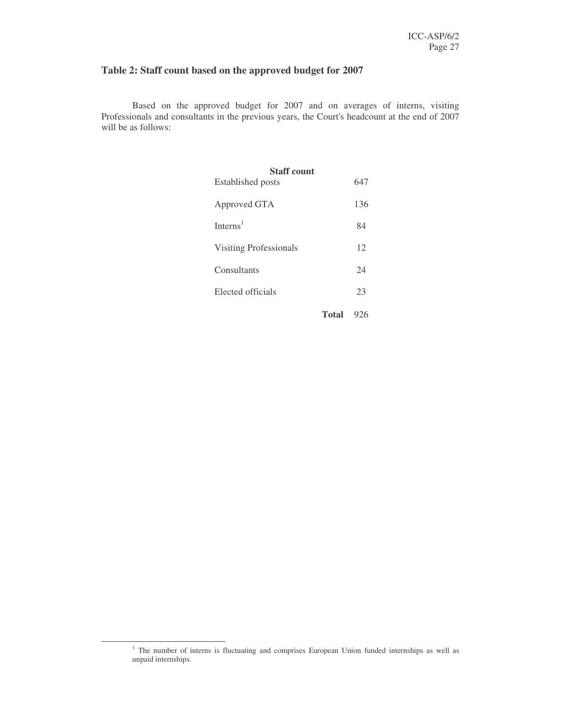#### **Table 2: Staff count based on the approved budget for 2007**

Based on the approved budget for 2007 and on averages of interns, visiting Professionals and consultants in the previous years, the Court's headcount at the end of 2007 will be as follows:

| <b>Staff count</b><br>Established posts | 647 |
|-----------------------------------------|-----|
| Approved GTA                            | 136 |
| Interns <sup>1</sup>                    | 84  |
| <b>Visiting Professionals</b>           | 12  |
| Consultants                             | 24  |
| Elected officials                       | 23  |
| <b>Total</b>                            | 926 |

<sup>&</sup>lt;sup>1</sup> The number of interns is fluctuating and comprises European Union funded internships as well as unpaid internships.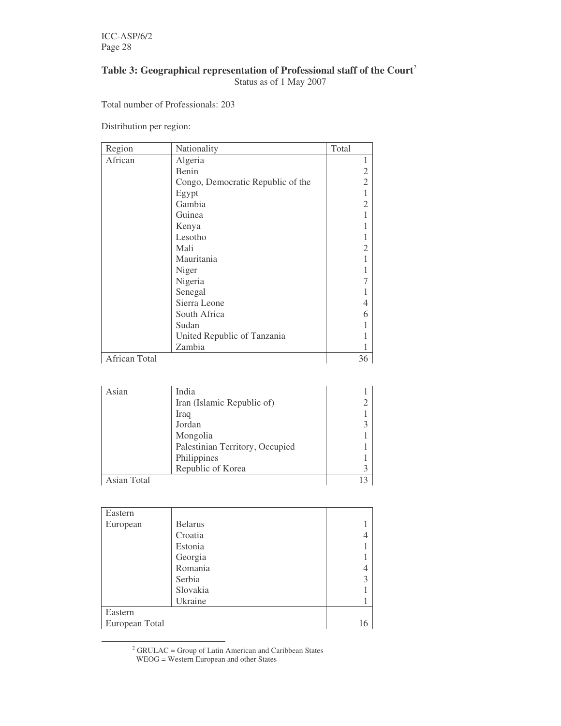ICC-ASP/6/2 Page 28

#### **Table 3: Geographical representation of Professional staff of the Court** 2 Status as of 1 May 2007

Total number of Professionals: 203

Distribution per region:

| Region        | Nationality                       | Total          |
|---------------|-----------------------------------|----------------|
| African       | Algeria                           |                |
|               | Benin                             | $\mathfrak{2}$ |
|               | Congo, Democratic Republic of the | $\overline{2}$ |
|               | Egypt                             |                |
|               | Gambia                            | $\overline{2}$ |
|               | Guinea                            |                |
|               | Kenya                             |                |
|               | Lesotho                           |                |
|               | Mali                              | $\overline{2}$ |
|               | Mauritania                        |                |
|               | Niger                             |                |
|               | Nigeria                           |                |
|               | Senegal                           |                |
|               | Sierra Leone                      | 4              |
|               | South Africa                      | 6              |
|               | Sudan                             |                |
|               | United Republic of Tanzania       |                |
|               | Zambia                            |                |
| African Total |                                   | 36             |

| Asian       | India                           |  |
|-------------|---------------------------------|--|
|             | Iran (Islamic Republic of)      |  |
|             | Iraq                            |  |
|             | Jordan                          |  |
|             | Mongolia                        |  |
|             | Palestinian Territory, Occupied |  |
|             | Philippines                     |  |
|             | Republic of Korea               |  |
| Asian Total |                                 |  |

| Eastern        |                |    |
|----------------|----------------|----|
| European       | <b>Belarus</b> |    |
|                | Croatia        |    |
|                | Estonia        |    |
|                | Georgia        |    |
|                | Romania        |    |
|                | Serbia         | 3  |
|                | Slovakia       |    |
|                | Ukraine        |    |
| Eastern        |                |    |
| European Total |                | 16 |

 $2^2$  GRULAC = Group of Latin American and Caribbean States WEOG = Western European and other States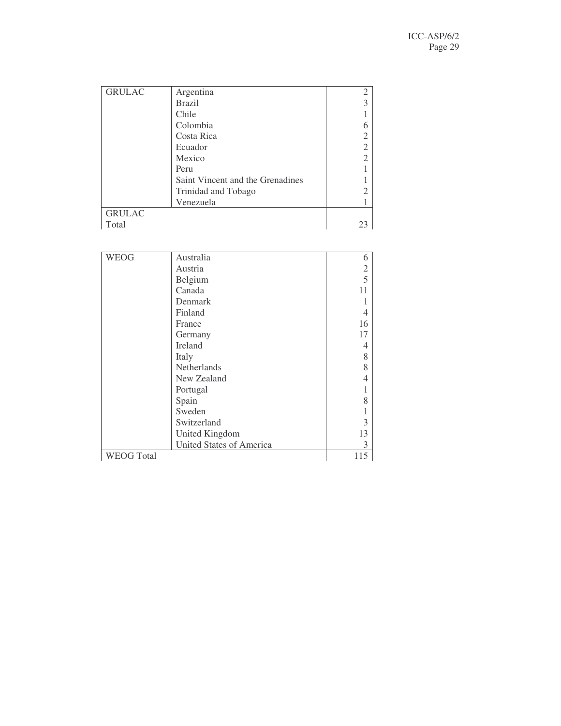| <b>GRULAC</b> | Argentina                        |  |
|---------------|----------------------------------|--|
|               | <b>Brazil</b>                    |  |
|               | Chile                            |  |
|               | Colombia                         |  |
|               | Costa Rica                       |  |
|               | Ecuador                          |  |
|               | Mexico                           |  |
|               | Peru                             |  |
|               | Saint Vincent and the Grenadines |  |
|               | Trinidad and Tobago              |  |
|               | Venezuela                        |  |
| <b>GRULAC</b> |                                  |  |
| Total         |                                  |  |

| <b>WEOG</b>       | Australia                       | 6              |
|-------------------|---------------------------------|----------------|
|                   | Austria                         | $\overline{c}$ |
|                   | Belgium                         | 5              |
|                   | Canada                          | 11             |
|                   | Denmark                         |                |
|                   | Finland                         | 4              |
|                   | France                          | 16             |
|                   | Germany                         | 17             |
|                   | <b>Ireland</b>                  | 4              |
|                   | Italy                           | 8              |
|                   | Netherlands                     | 8              |
|                   | New Zealand                     | 4              |
|                   | Portugal                        |                |
|                   | Spain                           | 8              |
|                   | Sweden                          |                |
|                   | Switzerland                     | 3              |
|                   | <b>United Kingdom</b>           | 13             |
|                   | <b>United States of America</b> | 3              |
| <b>WEOG Total</b> |                                 | 115            |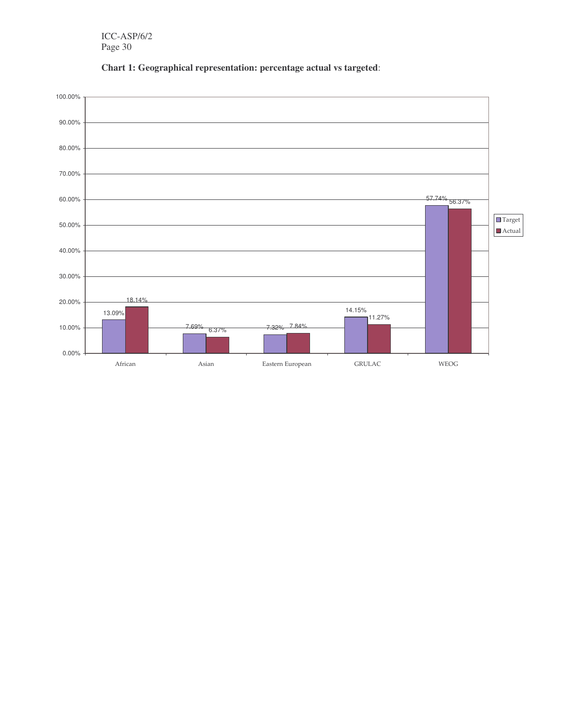

**Chart 1: Geographical representation: percentage actual vs targeted**: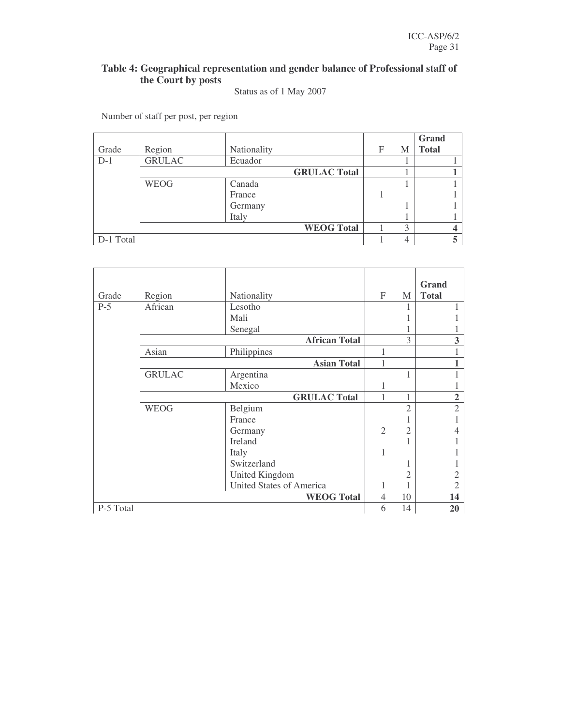### **Table 4: Geographical representation and gender balance of Professional staff of the Court by posts**

#### Status as of 1 May 2007

Number of staff per post, per region

|           |               |             |                     |   |   | Grand        |
|-----------|---------------|-------------|---------------------|---|---|--------------|
| Grade     | Region        | Nationality |                     | F | M | <b>Total</b> |
| $D-1$     | <b>GRULAC</b> | Ecuador     |                     |   |   |              |
|           |               |             | <b>GRULAC Total</b> |   |   |              |
|           | <b>WEOG</b>   | Canada      |                     |   |   |              |
|           |               | France      |                     |   |   |              |
|           |               | Germany     |                     |   |   |              |
|           |               | Italy       |                     |   |   |              |
|           |               |             | <b>WEOG Total</b>   |   | 3 |              |
| D-1 Total |               |             |                     |   |   |              |

|           |               |                                 |                |                          | Grand          |
|-----------|---------------|---------------------------------|----------------|--------------------------|----------------|
| Grade     | Region        | Nationality                     | F              | M                        | <b>Total</b>   |
| $P-5$     | African       | Lesotho                         |                |                          |                |
|           |               | Mali                            |                |                          |                |
|           |               | Senegal                         |                |                          |                |
|           |               | <b>African Total</b>            |                | 3                        | 3              |
|           | Asian         | Philippines                     | 1              |                          |                |
|           |               | <b>Asian Total</b>              | 1              |                          |                |
|           | <b>GRULAC</b> | Argentina                       |                |                          |                |
|           |               | Mexico                          | 1              |                          |                |
|           |               | <b>GRULAC Total</b>             | 1              | 1                        | $\overline{2}$ |
|           | <b>WEOG</b>   | Belgium                         |                | $\overline{\mathcal{L}}$ | $\overline{2}$ |
|           |               | France                          |                |                          |                |
|           |               | Germany                         | $\overline{2}$ | $\overline{2}$           |                |
|           |               | <b>Ireland</b>                  |                |                          |                |
|           |               | Italy                           | 1              |                          |                |
|           |               | Switzerland                     |                |                          |                |
|           |               | United Kingdom                  |                | 2                        |                |
|           |               | <b>United States of America</b> | 1              |                          | 2              |
|           |               | <b>WEOG Total</b>               | 4              | 10                       | 14             |
| P-5 Total |               |                                 | 6              | 14                       | 20             |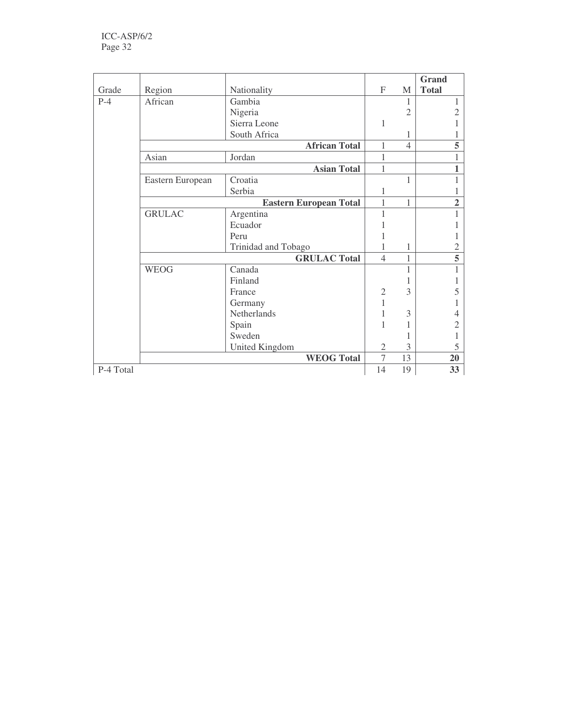|           |                  |                               |                |                | <b>Grand</b> |
|-----------|------------------|-------------------------------|----------------|----------------|--------------|
| Grade     | Region           | Nationality                   | $\mathbf{F}$   | M              | <b>Total</b> |
| $P-4$     | African          | Gambia                        |                | 1              |              |
|           |                  | Nigeria                       |                | $\overline{2}$ |              |
|           |                  | Sierra Leone                  | 1              |                |              |
|           |                  | South Africa                  |                | 1              |              |
|           |                  | <b>African Total</b>          | $\mathbf{1}$   | $\overline{4}$ |              |
|           | Asian            | Jordan                        | 1              |                |              |
|           |                  | <b>Asian Total</b>            | 1              |                |              |
|           | Eastern European | Croatia                       |                | 1              |              |
|           |                  | Serbia                        |                |                |              |
|           |                  | <b>Eastern European Total</b> | $\mathbf{1}$   | 1              |              |
|           | <b>GRULAC</b>    | Argentina                     | 1              |                |              |
|           |                  | Ecuador                       |                |                |              |
|           |                  | Peru                          |                |                |              |
|           |                  | Trinidad and Tobago           | 1              | 1              |              |
|           |                  | <b>GRULAC Total</b>           | $\overline{4}$ | $\mathbf{1}$   |              |
|           | <b>WEOG</b>      | Canada                        |                | 1              |              |
|           |                  | Finland                       |                |                |              |
|           |                  | France                        | $\mathfrak{2}$ | 3              |              |
|           |                  | Germany                       | $\mathbf{1}$   |                |              |
|           |                  | Netherlands                   |                | 3              |              |
|           |                  | Spain                         | 1              | 1              |              |
|           |                  | Sweden                        |                |                |              |
|           |                  | United Kingdom                | $\mathfrak{2}$ | 3              |              |
|           |                  | <b>WEOG Total</b>             | $\overline{7}$ | 13             | 20           |
| P-4 Total |                  |                               | 14             | 19             | 33           |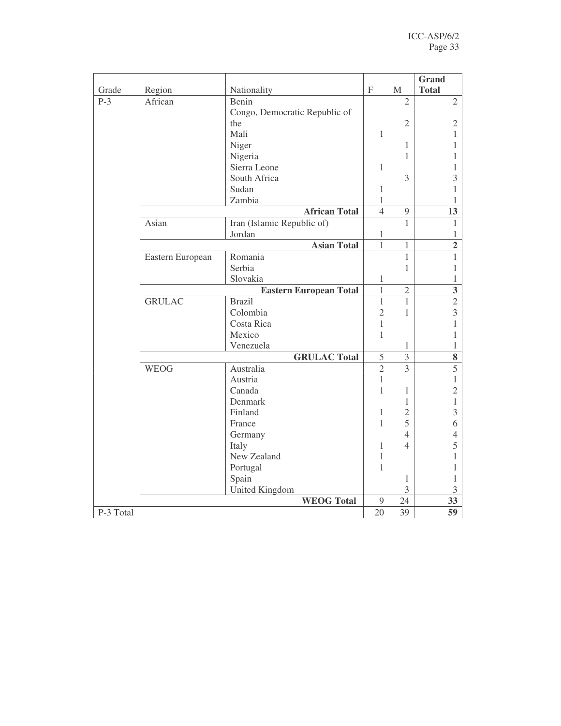| Grade     | Region           | Nationality                   | $\boldsymbol{\mathrm{F}}$    | $\mathbf M$    | <b>Grand</b><br><b>Total</b> |
|-----------|------------------|-------------------------------|------------------------------|----------------|------------------------------|
| $P-3$     | African          | Benin                         |                              | $\overline{2}$ | $\overline{2}$               |
|           |                  | Congo, Democratic Republic of |                              |                |                              |
|           |                  | the                           |                              | $\mathfrak{2}$ | $\sqrt{2}$                   |
|           |                  | Mali                          | $\mathbf{1}$                 |                | 1                            |
|           |                  | Niger                         |                              | 1              | 1                            |
|           |                  | Nigeria                       |                              | 1              | 1                            |
|           |                  | Sierra Leone                  | 1                            |                | 1                            |
|           |                  | South Africa                  |                              | 3              | 3                            |
|           |                  | Sudan                         | $\mathbf{1}$                 |                | 1                            |
|           |                  | Zambia                        | 1                            |                | 1                            |
|           |                  | <b>African Total</b>          | $\overline{4}$               | 9              | 13                           |
|           | Asian            |                               |                              | $\mathbf{1}$   |                              |
|           |                  | Iran (Islamic Republic of)    |                              |                | 1                            |
|           |                  | Jordan<br><b>Asian Total</b>  | $\mathbf{1}$<br>$\mathbf{1}$ | $\mathbf{1}$   | 1                            |
|           |                  |                               |                              |                | $\overline{2}$               |
|           | Eastern European | Romania                       |                              | $\mathbf{1}$   | $\mathbf{1}$                 |
|           |                  | Serbia                        |                              | $\mathbf{1}$   | 1                            |
|           |                  | Slovakia                      | 1                            |                | 1                            |
|           |                  | <b>Eastern European Total</b> | $\mathbf{1}$                 | $\sqrt{2}$     | $\mathbf{3}$                 |
|           | <b>GRULAC</b>    | <b>Brazil</b>                 | $\mathbf{1}$                 | $\mathbf{1}$   | $\sqrt{2}$                   |
|           |                  | Colombia                      | $\overline{2}$               | 1              | 3                            |
|           |                  | Costa Rica                    | $\mathbf{1}$                 |                | $\mathbf{1}$                 |
|           |                  | Mexico                        | $\mathbf{1}$                 |                | 1                            |
|           |                  | Venezuela                     |                              | 1              | 1                            |
|           |                  | <b>GRULAC Total</b>           | 5                            | $\overline{3}$ | $\bf 8$                      |
|           | <b>WEOG</b>      | Australia                     | $\overline{2}$               | $\overline{3}$ | $\overline{5}$               |
|           |                  | Austria                       | 1                            |                | 1                            |
|           |                  | Canada                        | $\mathbf{1}$                 | $\mathbf{1}$   | $\overline{2}$               |
|           |                  | Denmark                       |                              | $\mathbf{1}$   | $\mathbf{1}$                 |
|           |                  | Finland                       | 1                            | $\overline{2}$ | 3                            |
|           |                  | France                        | $\mathbf{1}$                 | 5              | 6                            |
|           |                  | Germany                       |                              | $\overline{4}$ | $\overline{4}$               |
|           |                  | Italy                         | 1                            | 4              | 5                            |
|           |                  | New Zealand                   | $\mathbf{1}$                 |                | $\mathbf{1}$                 |
|           |                  | Portugal                      | $\mathbf{1}$                 |                | 1                            |
|           |                  | Spain                         |                              | $\mathbf{1}$   | 1                            |
|           |                  | United Kingdom                |                              | 3              | $\mathfrak{Z}$               |
|           |                  | <b>WEOG Total</b>             | 9                            | 24             | 33                           |
| P-3 Total |                  |                               | 20                           | 39             | 59                           |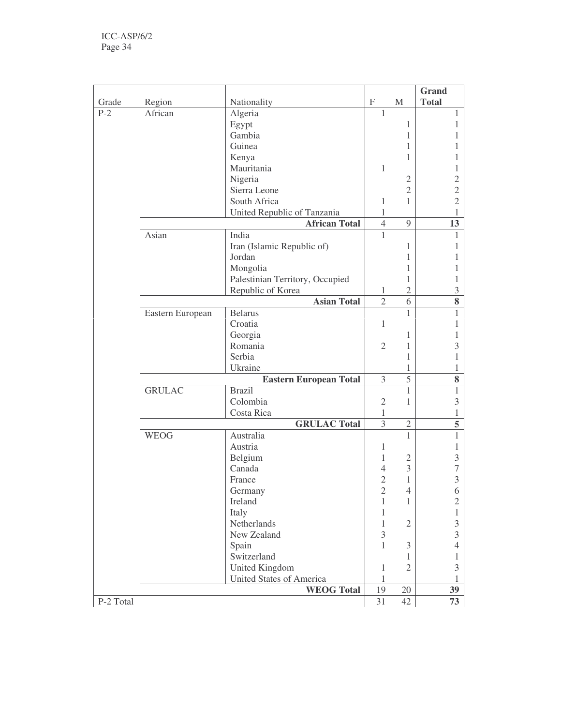| Grade     | Region           | Nationality                     | $\boldsymbol{\mathrm{F}}$ | $\mathbf M$    | Grand<br><b>Total</b> |
|-----------|------------------|---------------------------------|---------------------------|----------------|-----------------------|
| $P-2$     | African          | Algeria                         | 1                         |                | 1                     |
|           |                  | Egypt                           |                           | 1              | 1                     |
|           |                  | Gambia                          |                           | 1              | 1                     |
|           |                  | Guinea                          |                           | 1              |                       |
|           |                  | Kenya                           |                           | 1              |                       |
|           |                  | Mauritania                      | $\mathbf{1}$              |                | 1                     |
|           |                  | Nigeria                         |                           | $\sqrt{2}$     | $\overline{c}$        |
|           |                  | Sierra Leone                    |                           | $\overline{2}$ | $\overline{c}$        |
|           |                  | South Africa                    | $\mathbf{1}$              | 1              | $\overline{c}$        |
|           |                  | United Republic of Tanzania     | $\mathbf{1}$              |                | 1                     |
|           |                  | <b>African Total</b>            | $\overline{4}$            | 9              | 13                    |
|           | Asian            | India                           | $\mathbf{1}$              |                | 1                     |
|           |                  | Iran (Islamic Republic of)      |                           | 1              | 1                     |
|           |                  | Jordan                          |                           | 1              | 1                     |
|           |                  | Mongolia                        |                           | 1              | 1                     |
|           |                  | Palestinian Territory, Occupied |                           | 1              | 1                     |
|           |                  | Republic of Korea               | 1                         | $\overline{2}$ | 3                     |
|           |                  | <b>Asian Total</b>              | $\overline{2}$            | 6              | 8                     |
|           | Eastern European | <b>Belarus</b>                  |                           | 1              | 1                     |
|           |                  | Croatia                         | $\mathbf{1}$              |                | 1                     |
|           |                  | Georgia                         |                           | $\mathbf{1}$   | 1                     |
|           |                  | Romania                         | $\overline{2}$            | $\mathbf{1}$   | 3                     |
|           |                  | Serbia                          |                           | 1              | 1                     |
|           |                  | Ukraine                         |                           | 1              | 1                     |
|           |                  | <b>Eastern European Total</b>   | 3                         | 5              | 8                     |
|           | <b>GRULAC</b>    | <b>Brazil</b>                   |                           | 1              | 1                     |
|           |                  | Colombia                        | $\sqrt{2}$                | $\mathbf{1}$   | $\mathfrak{Z}$        |
|           |                  | Costa Rica                      | 1                         |                | 1                     |
|           |                  | <b>GRULAC</b> Total             | $\overline{3}$            | $\overline{2}$ | $\overline{5}$        |
|           | <b>WEOG</b>      | Australia                       |                           | 1              | $\mathbf{1}$          |
|           |                  | Austria                         | 1                         |                | 1                     |
|           |                  | Belgium                         | 1                         | $\mathfrak{2}$ | 3                     |
|           |                  | Canada                          | $\overline{4}$            | 3              | $\overline{7}$        |
|           |                  | France                          | $\overline{c}$            | 1              | 3                     |
|           |                  | Germany                         | $\overline{2}$            | $\overline{4}$ | 6                     |
|           |                  | Ireland                         | 1                         | 1              | $\overline{c}$        |
|           |                  | Italy                           | 1                         |                | 1                     |
|           |                  | Netherlands                     | 1                         | $\overline{2}$ | 3                     |
|           |                  | New Zealand                     | 3                         |                | $\overline{3}$        |
|           |                  | Spain                           | 1                         | 3              | 4                     |
|           |                  | Switzerland                     |                           | 1              | 1                     |
|           |                  | United Kingdom                  | 1                         | $\mathfrak{2}$ | 3                     |
|           |                  | <b>United States of America</b> | 1                         |                | 1                     |
|           |                  | <b>WEOG Total</b>               | 19                        | 20             | 39                    |
| P-2 Total |                  |                                 | 31                        | 42             | 73                    |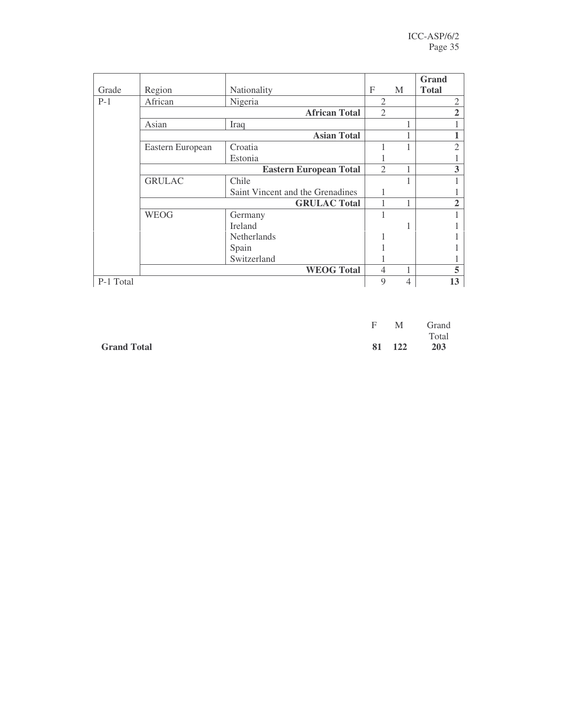| Grade     | Region           | Nationality                      | F              | M              | Grand<br><b>Total</b> |
|-----------|------------------|----------------------------------|----------------|----------------|-----------------------|
| $P-1$     | African          | Nigeria                          | $\overline{2}$ |                | $\mathfrak{2}$        |
|           |                  | <b>African Total</b>             | $\overline{2}$ |                | $\overline{2}$        |
|           | Asian            | Iraq                             |                |                |                       |
|           |                  | <b>Asian Total</b>               |                |                |                       |
|           | Eastern European | Croatia                          |                |                | $\overline{2}$        |
|           |                  | Estonia                          |                |                |                       |
|           |                  | <b>Eastern European Total</b>    | $\overline{2}$ |                | 3                     |
|           | <b>GRULAC</b>    | Chile                            |                |                |                       |
|           |                  | Saint Vincent and the Grenadines |                |                |                       |
|           |                  | <b>GRULAC Total</b>              | 1              |                | 2                     |
|           | <b>WEOG</b>      | Germany                          |                |                |                       |
|           |                  | <b>Ireland</b>                   |                |                |                       |
|           |                  | <b>Netherlands</b>               |                |                |                       |
|           |                  | Spain                            |                |                |                       |
|           |                  | Switzerland                      |                |                |                       |
|           |                  | <b>WEOG Total</b>                | $\overline{4}$ |                | 5                     |
| P-1 Total |                  |                                  | 9              | $\overline{4}$ | 13                    |

|                    |  | F M Grand  |
|--------------------|--|------------|
|                    |  | Total      |
| <b>Grand Total</b> |  | 81 122 203 |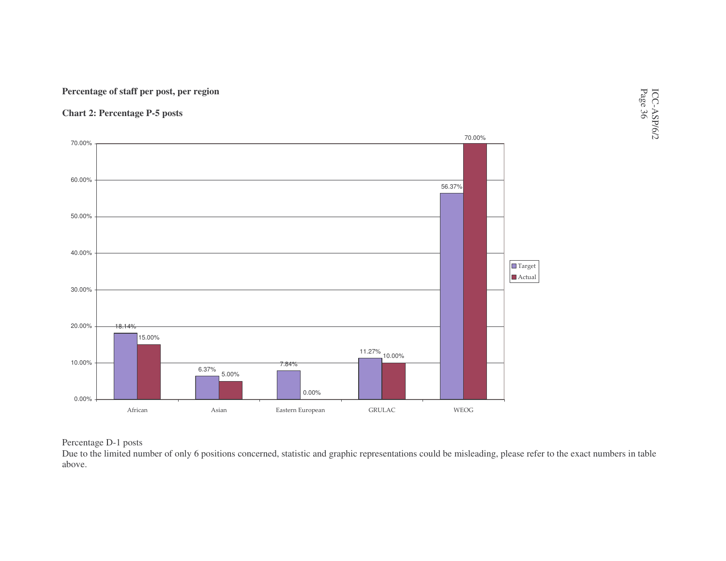#### **Percentage of staff per post, per region**

**Chart 2: Percentage P-5 posts**



# ICC-ASP/6/2 Page 36

#### Percentage D-1 posts

Due to the limited number of only 6 positions concerned, statistic and graphic representations could be misleading, please refer to the exact numbers in table above.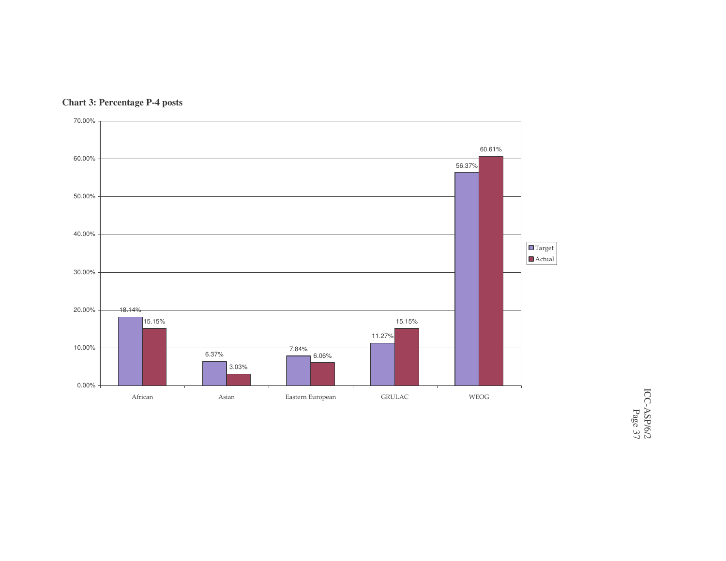

#### **Chart 3: Percentage P-4 posts**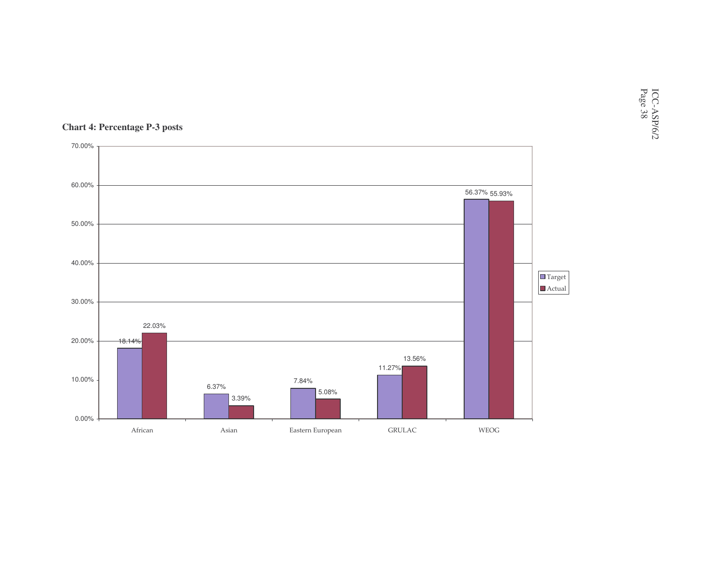

#### **Chart 4: Percentage P-3 posts**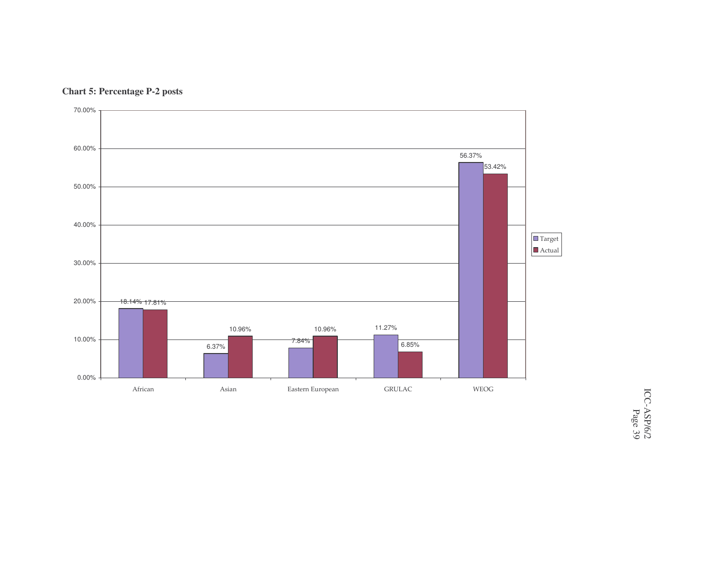

**Chart 5: Percentage P-2 posts**

ICC-ASP/6/2 Page 39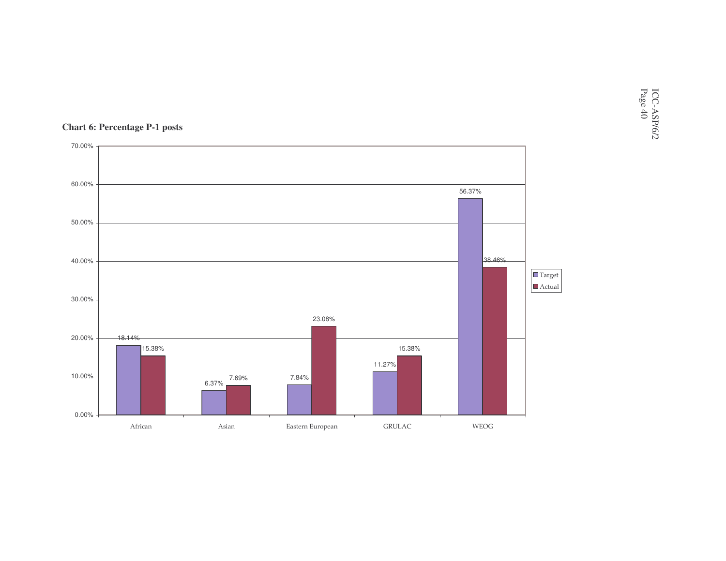

#### **Chart 6: Percentage P-1 posts**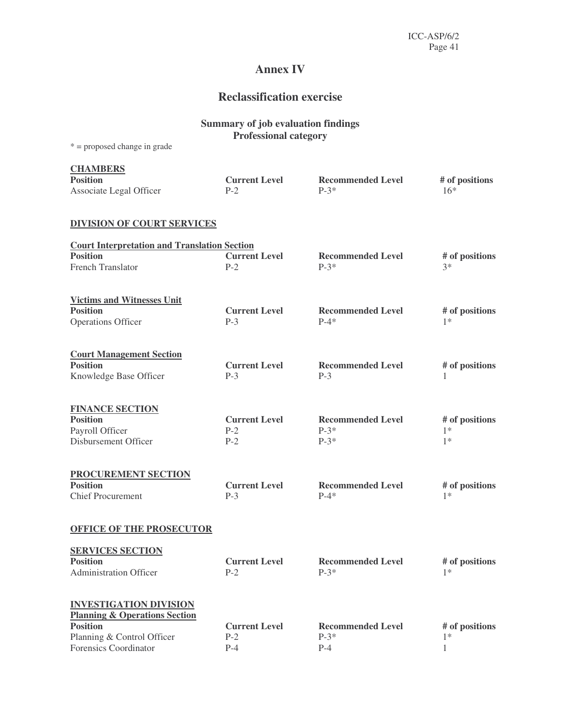## **Annex IV**

## **Reclassification exercise**

|                                                                                      | <b>Summary of job evaluation findings</b><br><b>Professional category</b> |                                              |                                |
|--------------------------------------------------------------------------------------|---------------------------------------------------------------------------|----------------------------------------------|--------------------------------|
| $* =$ proposed change in grade                                                       |                                                                           |                                              |                                |
| <b>CHAMBERS</b><br><b>Position</b><br>Associate Legal Officer                        | <b>Current Level</b><br>$P-2$                                             | <b>Recommended Level</b><br>$P-3*$           | # of positions<br>$16*$        |
| <b>DIVISION OF COURT SERVICES</b>                                                    |                                                                           |                                              |                                |
| <b>Court Interpretation and Translation Section</b>                                  |                                                                           |                                              |                                |
| <b>Position</b><br><b>French Translator</b>                                          | <b>Current Level</b><br>$P-2$                                             | <b>Recommended Level</b><br>$P-3*$           | # of positions<br>$3*$         |
| <b>Victims and Witnesses Unit</b><br><b>Position</b>                                 | <b>Current Level</b>                                                      |                                              |                                |
| Operations Officer                                                                   | $P-3$                                                                     | <b>Recommended Level</b><br>$P-4*$           | # of positions<br>$1*$         |
| <b>Court Management Section</b><br><b>Position</b><br>Knowledge Base Officer         | <b>Current Level</b><br>$P-3$                                             | <b>Recommended Level</b><br>$P-3$            | # of positions<br>1            |
| <b>FINANCE SECTION</b><br><b>Position</b><br>Payroll Officer<br>Disbursement Officer | <b>Current Level</b><br>$P-2$<br>$P-2$                                    | <b>Recommended Level</b><br>$P-3*$<br>$P-3*$ | # of positions<br>$1*$<br>$1*$ |
| <b>PROCUREMENT SECTION</b><br><b>Position</b><br><b>Chief Procurement</b>            | <b>Current Level</b><br>$P-3$                                             | <b>Recommended Level</b><br>$P-4*$           | # of positions<br>$1*$         |
| <b>OFFICE OF THE PROSECUTOR</b>                                                      |                                                                           |                                              |                                |
| <b>SERVICES SECTION</b><br><b>Position</b><br><b>Administration Officer</b>          | <b>Current Level</b><br>$P-2$                                             | <b>Recommended Level</b><br>$P-3*$           | # of positions<br>$1*$         |
| <b>INVESTIGATION DIVISION</b><br><b>Planning &amp; Operations Section</b>            |                                                                           |                                              |                                |
| <b>Position</b><br>Planning & Control Officer<br>Forensics Coordinator               | <b>Current Level</b><br>$P-2$<br>$P-4$                                    | <b>Recommended Level</b><br>$P-3*$<br>$P-4$  | # of positions<br>$1*$<br>1    |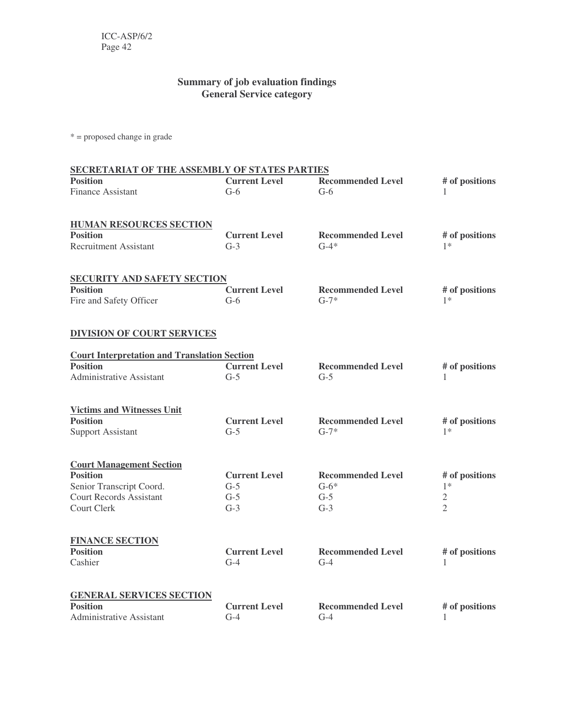### **Summary of job evaluation findings General Service category**

\* = proposed change in grade

| SECRETARIAT OF THE ASSEMBLY OF STATES PARTIES                                                                                   |                                                 |                                                      |                                                            |  |
|---------------------------------------------------------------------------------------------------------------------------------|-------------------------------------------------|------------------------------------------------------|------------------------------------------------------------|--|
| <b>Position</b><br><b>Finance Assistant</b>                                                                                     | <b>Current Level</b><br>$G-6$                   | <b>Recommended Level</b><br>$G-6$                    | # of positions<br>1                                        |  |
| <b>HUMAN RESOURCES SECTION</b><br><b>Position</b><br><b>Recruitment Assistant</b>                                               | <b>Current Level</b><br>$G-3$                   | <b>Recommended Level</b><br>$G-4*$                   | # of positions<br>$1*$                                     |  |
| <b>SECURITY AND SAFETY SECTION</b><br><b>Position</b><br>Fire and Safety Officer                                                | <b>Current Level</b><br>$G-6$                   | <b>Recommended Level</b><br>$G-7*$                   | # of positions<br>$1*$                                     |  |
| <b>DIVISION OF COURT SERVICES</b>                                                                                               |                                                 |                                                      |                                                            |  |
| <b>Court Interpretation and Translation Section</b><br><b>Position</b><br><b>Administrative Assistant</b>                       | <b>Current Level</b><br>$G-5$                   | <b>Recommended Level</b><br>$G-5$                    | # of positions<br>1                                        |  |
| <b>Victims and Witnesses Unit</b><br><b>Position</b><br><b>Support Assistant</b>                                                | <b>Current Level</b><br>$G-5$                   | <b>Recommended Level</b><br>$G-7*$                   | # of positions<br>$1*$                                     |  |
| <b>Court Management Section</b><br><b>Position</b><br>Senior Transcript Coord.<br><b>Court Records Assistant</b><br>Court Clerk | <b>Current Level</b><br>$G-5$<br>$G-5$<br>$G-3$ | <b>Recommended Level</b><br>$G-6*$<br>$G-5$<br>$G-3$ | # of positions<br>$1*$<br>$\mathfrak{2}$<br>$\mathfrak{D}$ |  |
| <b>FINANCE SECTION</b><br><b>Position</b><br>Cashier                                                                            | <b>Current Level</b><br>$G-4$                   | <b>Recommended Level</b><br>$G-4$                    | # of positions<br>1                                        |  |
| <b>GENERAL SERVICES SECTION</b><br><b>Position</b><br>Administrative Assistant                                                  | <b>Current Level</b><br>$G-4$                   | <b>Recommended Level</b><br>$G-4$                    | # of positions<br>$\mathbf{1}$                             |  |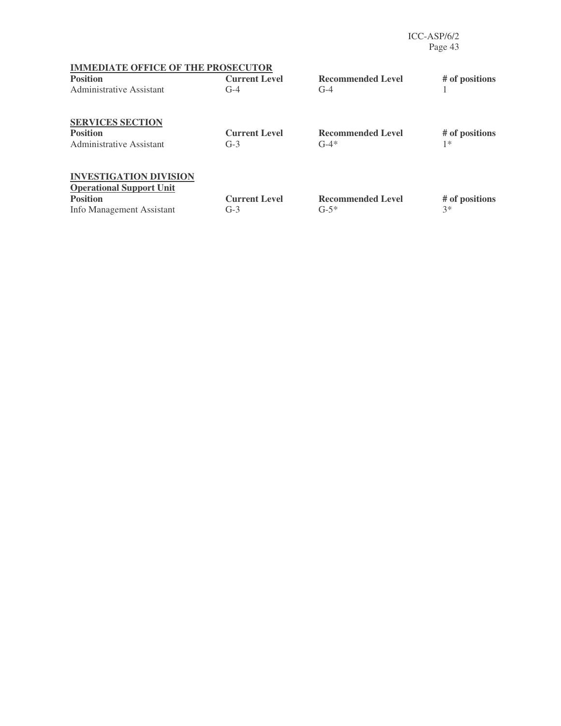ICC-ASP/6/2 Page 43

| <b>IMMEDIATE OFFICE OF THE PROSECUTOR</b>                        |                      |                          |                |
|------------------------------------------------------------------|----------------------|--------------------------|----------------|
| <b>Position</b>                                                  | <b>Current Level</b> | <b>Recommended Level</b> | # of positions |
| <b>Administrative Assistant</b>                                  | $G-4$                | $G-4$                    |                |
| <b>SERVICES SECTION</b>                                          |                      |                          |                |
| <b>Position</b>                                                  | <b>Current Level</b> | <b>Recommended Level</b> | # of positions |
| Administrative Assistant                                         | $G-3$                | $G-4*$                   | $1*$           |
| <b>INVESTIGATION DIVISION</b><br><b>Operational Support Unit</b> |                      |                          |                |
| <b>Position</b>                                                  | <b>Current Level</b> | <b>Recommended Level</b> | # of positions |
|                                                                  | $G-3$                | $G-5*$                   | $3*$           |
| Info Management Assistant                                        |                      |                          |                |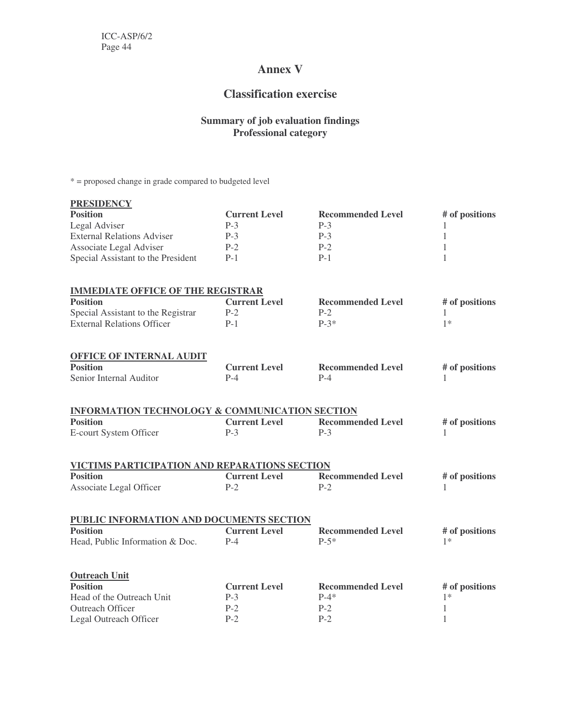## **Annex V**

## **Classification exercise**

#### **Summary of job evaluation findings Professional category**

\* = proposed change in grade compared to budgeted level

| <b>PRESIDENCY</b>                                         |                      |                          |                |
|-----------------------------------------------------------|----------------------|--------------------------|----------------|
| <b>Position</b>                                           | <b>Current Level</b> | <b>Recommended Level</b> | # of positions |
| Legal Adviser                                             | $P-3$                | $P-3$                    | 1              |
| <b>External Relations Adviser</b>                         | $P-3$                | $P-3$                    | 1              |
| Associate Legal Adviser                                   | $P-2$                | $P-2$                    | 1              |
| Special Assistant to the President                        | $P-1$                | $P-1$                    | $\mathbf{1}$   |
| <b>IMMEDIATE OFFICE OF THE REGISTRAR</b>                  |                      |                          |                |
| <b>Position</b>                                           | <b>Current Level</b> | <b>Recommended Level</b> | # of positions |
| Special Assistant to the Registrar                        | $P-2$                | $P-2$                    | 1              |
| <b>External Relations Officer</b>                         | $P-1$                | $P-3*$                   | $1*$           |
| <b>OFFICE OF INTERNAL AUDIT</b>                           |                      |                          |                |
| <b>Position</b>                                           | <b>Current Level</b> | <b>Recommended Level</b> | # of positions |
| Senior Internal Auditor                                   | $P-4$                | $P-4$                    | 1              |
| <b>INFORMATION TECHNOLOGY &amp; COMMUNICATION SECTION</b> |                      |                          |                |
| <b>Position</b>                                           | <b>Current Level</b> | <b>Recommended Level</b> | # of positions |
| E-court System Officer                                    | $P-3$                | $P-3$                    |                |
| VICTIMS PARTICIPATION AND REPARATIONS SECTION             |                      |                          |                |
| <b>Position</b>                                           | <b>Current Level</b> | <b>Recommended Level</b> | # of positions |
| Associate Legal Officer                                   | $P-2$                | $P-2$                    | 1              |
| PUBLIC INFORMATION AND DOCUMENTS SECTION                  |                      |                          |                |
| <b>Position</b>                                           | <b>Current Level</b> | <b>Recommended Level</b> | # of positions |
| Head, Public Information & Doc.                           | $P-4$                | $P-5*$                   | $1*$           |
| <b>Outreach Unit</b>                                      |                      |                          |                |
| <b>Position</b>                                           | <b>Current Level</b> | <b>Recommended Level</b> | # of positions |
| Head of the Outreach Unit                                 | $P-3$                | $P-4*$                   | $1*$           |
| Outreach Officer                                          | $P-2$                | $P-2$                    | $\mathbf{1}$   |
| Legal Outreach Officer                                    | $P-2$                | $P-2$                    | 1              |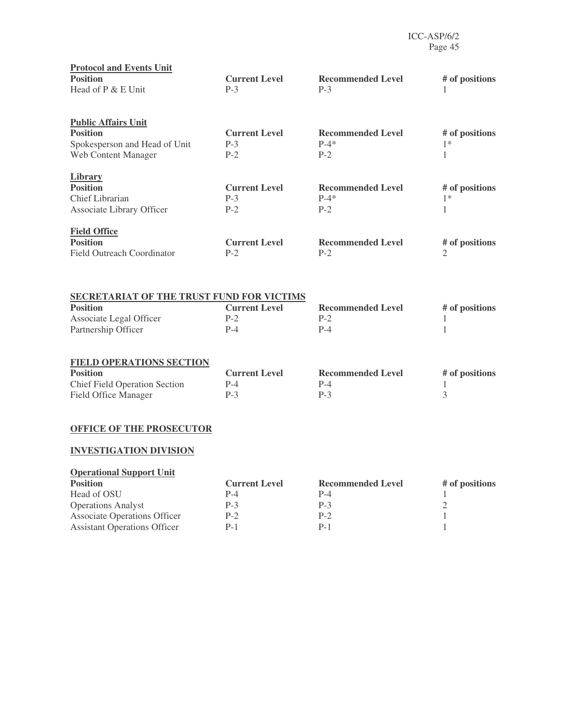| <b>Protocol and Events Unit</b><br><b>Position</b><br>Head of P & E Unit                                           | <b>Current Level</b><br>$P-3$          | <b>Recommended Level</b><br>$P-3$           | # of positions<br>1                    |
|--------------------------------------------------------------------------------------------------------------------|----------------------------------------|---------------------------------------------|----------------------------------------|
| <b>Public Affairs Unit</b><br><b>Position</b><br>Spokesperson and Head of Unit<br>Web Content Manager              | <b>Current Level</b><br>$P-3$<br>$P-2$ | <b>Recommended Level</b><br>$P-4*$<br>$P-2$ | # of positions<br>$1*$<br>$\mathbf{1}$ |
| <b>Library</b><br><b>Position</b><br>Chief Librarian<br>Associate Library Officer                                  | <b>Current Level</b><br>$P-3$<br>$P-2$ | <b>Recommended Level</b><br>$P-4*$<br>$P-2$ | # of positions<br>$1*$<br>$\mathbf{1}$ |
| <b>Field Office</b><br><b>Position</b><br><b>Field Outreach Coordinator</b>                                        | <b>Current Level</b><br>$P-2$          | <b>Recommended Level</b><br>$P-2$           | # of positions<br>$\overline{2}$       |
| SECRETARIAT OF THE TRUST FUND FOR VICTIMS<br><b>Position</b><br>Associate Legal Officer<br>Partnership Officer     | <b>Current Level</b><br>$P-2$<br>$P-4$ | <b>Recommended Level</b><br>$P-2$<br>$P-4$  | # of positions<br>1<br>1               |
| <b>FIELD OPERATIONS SECTION</b><br><b>Position</b><br><b>Chief Field Operation Section</b><br>Field Office Manager | <b>Current Level</b><br>$P-4$<br>$P-3$ | <b>Recommended Level</b><br>$P-4$<br>$P-3$  | # of positions<br>1<br>3               |
| <b>OFFICE OF THE PROSECUTOR</b><br><b>INVESTIGATION DIVISION</b>                                                   |                                        |                                             |                                        |

| <b>Operational Support Unit</b>     |                      |                          |                |
|-------------------------------------|----------------------|--------------------------|----------------|
| <b>Position</b>                     | <b>Current Level</b> | <b>Recommended Level</b> | # of positions |
| Head of OSU                         | $P-4$                | P-4                      |                |
| <b>Operations Analyst</b>           | $P-3$                | $P-3$                    |                |
| <b>Associate Operations Officer</b> | $P-2$                | $P-2$                    |                |
| <b>Assistant Operations Officer</b> | $P-1$                | $P-1$                    |                |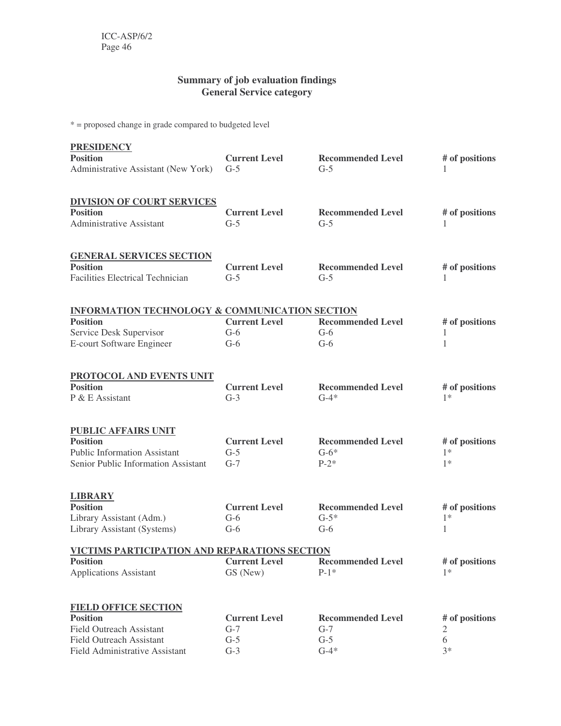#### **Summary of job evaluation findings General Service category**

\* = proposed change in grade compared to budgeted level

| <b>PRESIDENCY</b>                                         |                      |                          |                |
|-----------------------------------------------------------|----------------------|--------------------------|----------------|
| <b>Position</b>                                           | <b>Current Level</b> | <b>Recommended Level</b> | # of positions |
| Administrative Assistant (New York)                       | $G-5$                | $G-5$                    |                |
| <b>DIVISION OF COURT SERVICES</b>                         |                      |                          |                |
| <b>Position</b>                                           | <b>Current Level</b> | <b>Recommended Level</b> | # of positions |
| <b>Administrative Assistant</b>                           | $G-5$                | $G-5$                    |                |
| <b>GENERAL SERVICES SECTION</b>                           |                      |                          |                |
| <b>Position</b>                                           | <b>Current Level</b> | <b>Recommended Level</b> | # of positions |
| <b>Facilities Electrical Technician</b>                   | $G-5$                | $G-5$                    |                |
| <b>INFORMATION TECHNOLOGY &amp; COMMUNICATION SECTION</b> |                      |                          |                |
| <b>Position</b>                                           | <b>Current Level</b> | <b>Recommended Level</b> | # of positions |
| Service Desk Supervisor                                   | $G-6$                | $G-6$                    |                |
| E-court Software Engineer                                 | $G-6$                | $G-6$                    | $\mathbf{1}$   |
| PROTOCOL AND EVENTS UNIT                                  |                      |                          |                |
| <b>Position</b>                                           | <b>Current Level</b> | <b>Recommended Level</b> | # of positions |
| P & E Assistant                                           | $G-3$                | $G-4*$                   | $1*$           |
| <b>PUBLIC AFFAIRS UNIT</b>                                |                      |                          |                |
| <b>Position</b>                                           | <b>Current Level</b> | <b>Recommended Level</b> | # of positions |
| <b>Public Information Assistant</b>                       | $G-5$                | $G-6*$                   | $1*$           |
| Senior Public Information Assistant                       | $G-7$                | $P-2*$                   | $1*$           |
| <b>LIBRARY</b>                                            |                      |                          |                |
| <b>Position</b>                                           | <b>Current Level</b> | <b>Recommended Level</b> | # of positions |
| Library Assistant (Adm.)                                  | $G-6$                | $G-5*$                   | $1*$           |
| Library Assistant (Systems)                               | $G-6$                | $G-6$                    | 1              |
| VICTIMS PARTICIPATION AND REPARATIONS SECTION             |                      |                          |                |
| <b>Position</b>                                           | <b>Current Level</b> | <b>Recommended Level</b> | # of positions |
| <b>Applications Assistant</b>                             | GS (New)             | $P-1*$                   | $1*$           |
| <b>FIELD OFFICE SECTION</b>                               |                      |                          |                |
| <b>Position</b>                                           | <b>Current Level</b> | <b>Recommended Level</b> | # of positions |
| <b>Field Outreach Assistant</b>                           | $G-7$                | $G-7$                    | 2              |
| <b>Field Outreach Assistant</b>                           | $G-5$                | $G-5$                    | 6              |
| Field Administrative Assistant                            | $G-3$                | $G-4*$                   | $3*$           |